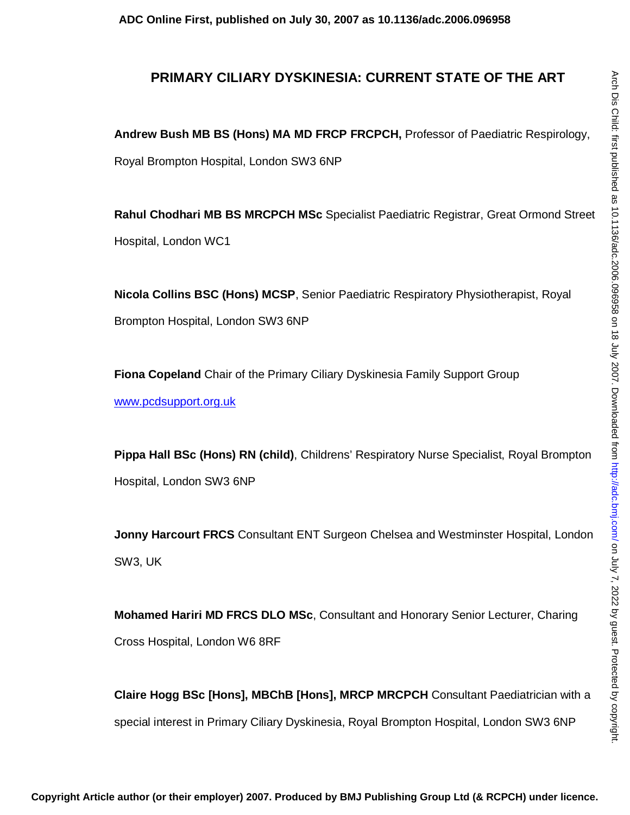# **PRIMARY CILIARY DYSKINESIA: CURRENT STATE OF THE ART**

**Andrew Bush MB BS (Hons) MA MD FRCP FRCPCH,** Professor of Paediatric Respirology, Royal Brompton Hospital, London SW3 6NP

**Rahul Chodhari MB BS MRCPCH MSc** Specialist Paediatric Registrar, Great Ormond Street Hospital, London WC1

**Nicola Collins BSC (Hons) MCSP**, Senior Paediatric Respiratory Physiotherapist, Royal Brompton Hospital, London SW3 6NP

**Fiona Copeland** Chair of the Primary Ciliary Dyskinesia Family Support Group www.pcdsupport.org.uk

**Pippa Hall BSc (Hons) RN (child)**, Childrens' Respiratory Nurse Specialist, Royal Brompton Hospital, London SW3 6NP

**Jonny Harcourt FRCS** Consultant ENT Surgeon Chelsea and Westminster Hospital, London SW3, UK

**Mohamed Hariri MD FRCS DLO MSc**, Consultant and Honorary Senior Lecturer, Charing Cross Hospital, London W6 8RF

**Claire Hogg BSc [Hons], MBChB [Hons], MRCP MRCPCH** Consultant Paediatrician with a special interest in Primary Ciliary Dyskinesia, Royal Brompton Hospital, London SW3 6NP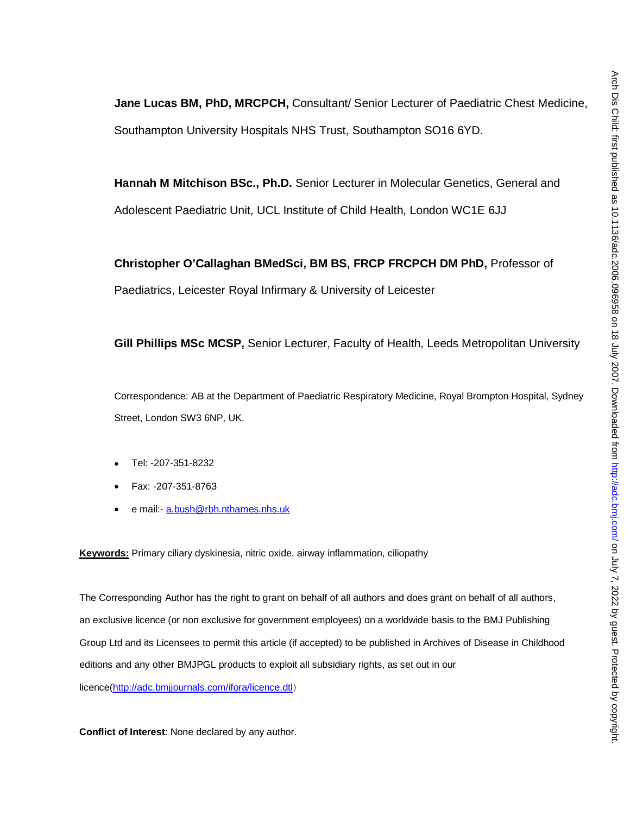**Jane Lucas BM, PhD, MRCPCH,** Consultant/ Senior Lecturer of Paediatric Chest Medicine, Southampton University Hospitals NHS Trust, Southampton SO16 6YD.

**Hannah M Mitchison BSc., Ph.D.** Senior Lecturer in Molecular Genetics, General and Adolescent Paediatric Unit, UCL Institute of Child Health, London WC1E 6JJ

**Christopher O'Callaghan BMedSci, BM BS, FRCP FRCPCH DM PhD,** Professor of Paediatrics, Leicester Royal Infirmary & University of Leicester

**Gill Phillips MSc MCSP,** Senior Lecturer, Faculty of Health, Leeds Metropolitan University

Correspondence: AB at the Department of Paediatric Respiratory Medicine, Royal Brompton Hospital, Sydney Street, London SW3 6NP, UK.

- Tel: -207-351-8232
- Fax: -207-351-8763
- e mail: a.bush@rbh.nthames.nhs.uk

**Keywords:** Primary ciliary dyskinesia, nitric oxide, airway inflammation, ciliopathy

The Corresponding Author has the right to grant on behalf of all authors and does grant on behalf of all authors, an exclusive licence (or non exclusive for government employees) on a worldwide basis to the BMJ Publishing Group Ltd and its Licensees to permit this article (if accepted) to be published in Archives of Disease in Childhood editions and any other BMJPGL products to exploit all subsidiary rights, as set out in our licence(http://adc.bmjjournals.com/ifora/licence.dtl)

**Conflict of Interest**: None declared by any author.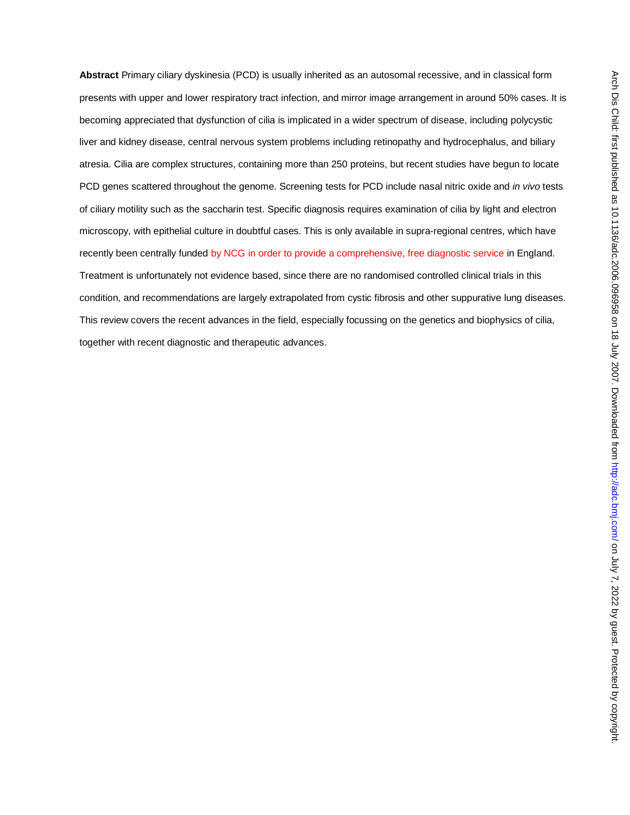**Abstract** Primary ciliary dyskinesia (PCD) is usually inherited as an autosomal recessive, and in classical form presents with upper and lower respiratory tract infection, and mirror image arrangement in around 50% cases. It is becoming appreciated that dysfunction of cilia is implicated in a wider spectrum of disease, including polycystic liver and kidney disease, central nervous system problems including retinopathy and hydrocephalus, and biliary atresia. Cilia are complex structures, containing more than 250 proteins, but recent studies have begun to locate PCD genes scattered throughout the genome. Screening tests for PCD include nasal nitric oxide and *in vivo* tests of ciliary motility such as the saccharin test. Specific diagnosis requires examination of cilia by light and electron microscopy, with epithelial culture in doubtful cases. This is only available in supra-regional centres, which have recently been centrally funded by NCG in order to provide a comprehensive, free diagnostic service in England. Treatment is unfortunately not evidence based, since there are no randomised controlled clinical trials in this condition, and recommendations are largely extrapolated from cystic fibrosis and other suppurative lung diseases. This review covers the recent advances in the field, especially focussing on the genetics and biophysics of cilia, together with recent diagnostic and therapeutic advances.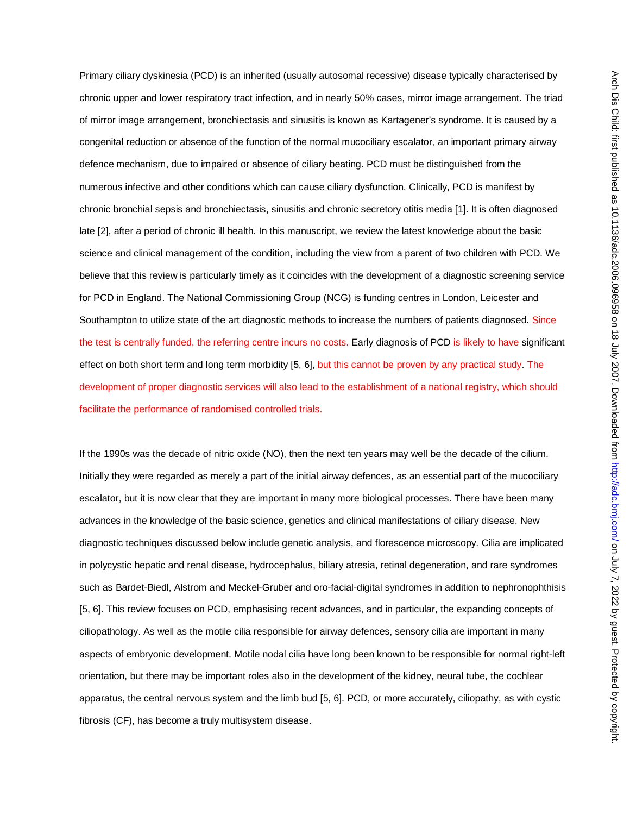Primary ciliary dyskinesia (PCD) is an inherited (usually autosomal recessive) disease typically characterised by chronic upper and lower respiratory tract infection, and in nearly 50% cases, mirror image arrangement. The triad of mirror image arrangement, bronchiectasis and sinusitis is known as Kartagener's syndrome. It is caused by a congenital reduction or absence of the function of the normal mucociliary escalator, an important primary airway defence mechanism, due to impaired or absence of ciliary beating. PCD must be distinguished from the numerous infective and other conditions which can cause ciliary dysfunction. Clinically, PCD is manifest by chronic bronchial sepsis and bronchiectasis, sinusitis and chronic secretory otitis media [1]. It is often diagnosed late [2], after a period of chronic ill health. In this manuscript, we review the latest knowledge about the basic science and clinical management of the condition, including the view from a parent of two children with PCD. We believe that this review is particularly timely as it coincides with the development of a diagnostic screening service for PCD in England. The National Commissioning Group (NCG) is funding centres in London, Leicester and Southampton to utilize state of the art diagnostic methods to increase the numbers of patients diagnosed. Since the test is centrally funded, the referring centre incurs no costs. Early diagnosis of PCD is likely to have significant effect on both short term and long term morbidity [5, 6], but this cannot be proven by any practical study. The development of proper diagnostic services will also lead to the establishment of a national registry, which should facilitate the performance of randomised controlled trials.

If the 1990s was the decade of nitric oxide (NO), then the next ten years may well be the decade of the cilium. Initially they were regarded as merely a part of the initial airway defences, as an essential part of the mucociliary escalator, but it is now clear that they are important in many more biological processes. There have been many advances in the knowledge of the basic science, genetics and clinical manifestations of ciliary disease. New diagnostic techniques discussed below include genetic analysis, and florescence microscopy. Cilia are implicated in polycystic hepatic and renal disease, hydrocephalus, biliary atresia, retinal degeneration, and rare syndromes such as Bardet-Biedl, Alstrom and Meckel-Gruber and oro-facial-digital syndromes in addition to nephronophthisis [5, 6]. This review focuses on PCD, emphasising recent advances, and in particular, the expanding concepts of ciliopathology. As well as the motile cilia responsible for airway defences, sensory cilia are important in many aspects of embryonic development. Motile nodal cilia have long been known to be responsible for normal right-left orientation, but there may be important roles also in the development of the kidney, neural tube, the cochlear apparatus, the central nervous system and the limb bud [5, 6]. PCD, or more accurately, ciliopathy, as with cystic fibrosis (CF), has become a truly multisystem disease.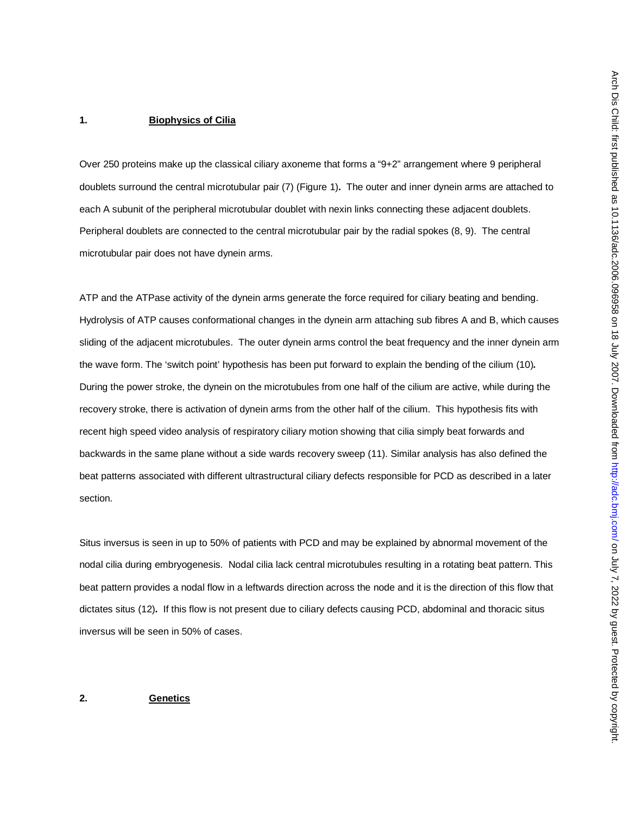#### **1. Biophysics of Cilia**

Over 250 proteins make up the classical ciliary axoneme that forms a "9+2" arrangement where 9 peripheral doublets surround the central microtubular pair (7) (Figure 1)*.* The outer and inner dynein arms are attached to each A subunit of the peripheral microtubular doublet with nexin links connecting these adjacent doublets. Peripheral doublets are connected to the central microtubular pair by the radial spokes (8, 9). The central microtubular pair does not have dynein arms.

ATP and the ATPase activity of the dynein arms generate the force required for ciliary beating and bending. Hydrolysis of ATP causes conformational changes in the dynein arm attaching sub fibres A and B, which causes sliding of the adjacent microtubules. The outer dynein arms control the beat frequency and the inner dynein arm the wave form. The 'switch point' hypothesis has been put forward to explain the bending of the cilium (10)*.*  During the power stroke, the dynein on the microtubules from one half of the cilium are active, while during the recovery stroke, there is activation of dynein arms from the other half of the cilium. This hypothesis fits with recent high speed video analysis of respiratory ciliary motion showing that cilia simply beat forwards and backwards in the same plane without a side wards recovery sweep (11). Similar analysis has also defined the beat patterns associated with different ultrastructural ciliary defects responsible for PCD as described in a later section.

Situs inversus is seen in up to 50% of patients with PCD and may be explained by abnormal movement of the nodal cilia during embryogenesis. Nodal cilia lack central microtubules resulting in a rotating beat pattern. This beat pattern provides a nodal flow in a leftwards direction across the node and it is the direction of this flow that dictates situs (12)*.* If this flow is not present due to ciliary defects causing PCD, abdominal and thoracic situs inversus will be seen in 50% of cases.

## **2. Genetics**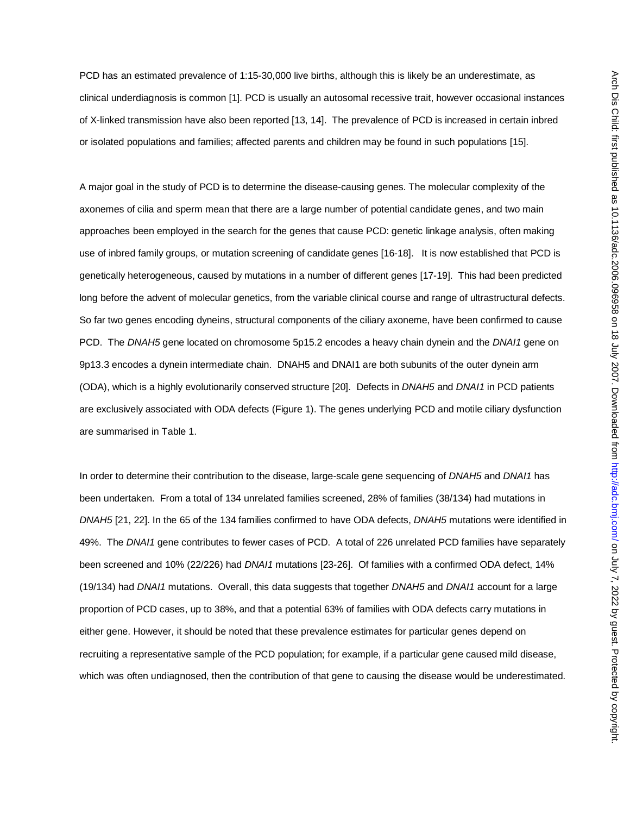PCD has an estimated prevalence of 1:15-30,000 live births, although this is likely be an underestimate, as clinical underdiagnosis is common [1]. PCD is usually an autosomal recessive trait, however occasional instances of X-linked transmission have also been reported [13, 14]. The prevalence of PCD is increased in certain inbred or isolated populations and families; affected parents and children may be found in such populations [15].

A major goal in the study of PCD is to determine the disease-causing genes. The molecular complexity of the axonemes of cilia and sperm mean that there are a large number of potential candidate genes, and two main approaches been employed in the search for the genes that cause PCD: genetic linkage analysis, often making use of inbred family groups, or mutation screening of candidate genes [16-18]. It is now established that PCD is genetically heterogeneous, caused by mutations in a number of different genes [17-19]. This had been predicted long before the advent of molecular genetics, from the variable clinical course and range of ultrastructural defects. So far two genes encoding dyneins, structural components of the ciliary axoneme, have been confirmed to cause PCD. The *DNAH5* gene located on chromosome 5p15.2 encodes a heavy chain dynein and the *DNAI1* gene on 9p13.3 encodes a dynein intermediate chain. DNAH5 and DNAI1 are both subunits of the outer dynein arm (ODA), which is a highly evolutionarily conserved structure [20]. Defects in *DNAH5* and *DNAI1* in PCD patients are exclusively associated with ODA defects (Figure 1). The genes underlying PCD and motile ciliary dysfunction are summarised in Table 1.

In order to determine their contribution to the disease, large-scale gene sequencing of *DNAH5* and *DNAI1* has been undertaken. From a total of 134 unrelated families screened, 28% of families (38/134) had mutations in *DNAH5* [21, 22]. In the 65 of the 134 families confirmed to have ODA defects, *DNAH5* mutations were identified in 49%. The *DNAI1* gene contributes to fewer cases of PCD. A total of 226 unrelated PCD families have separately been screened and 10% (22/226) had *DNAI1* mutations [23-26]. Of families with a confirmed ODA defect, 14% (19/134) had *DNAI1* mutations. Overall, this data suggests that together *DNAH5* and *DNAI1* account for a large proportion of PCD cases, up to 38%, and that a potential 63% of families with ODA defects carry mutations in either gene. However, it should be noted that these prevalence estimates for particular genes depend on recruiting a representative sample of the PCD population; for example, if a particular gene caused mild disease, which was often undiagnosed, then the contribution of that gene to causing the disease would be underestimated.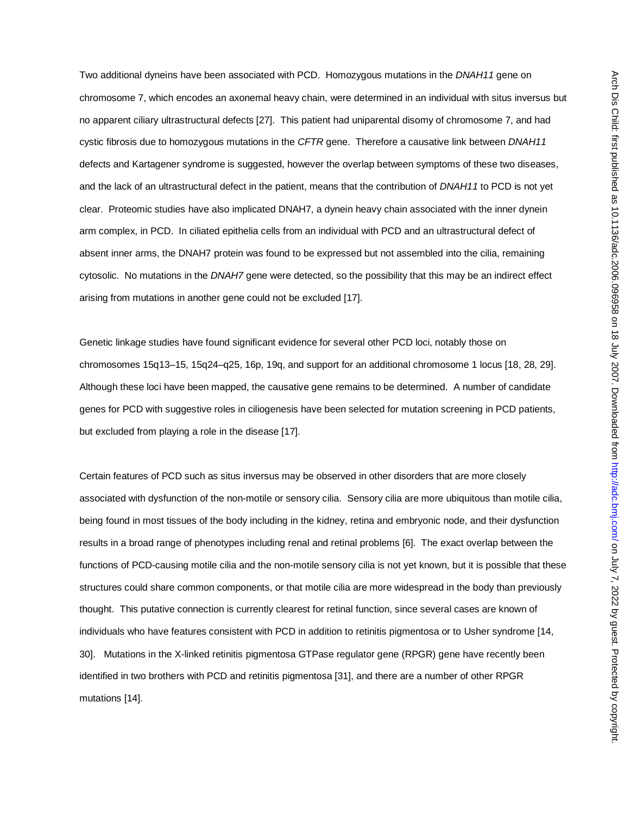Two additional dyneins have been associated with PCD. Homozygous mutations in the *DNAH11* gene on chromosome 7, which encodes an axonemal heavy chain, were determined in an individual with situs inversus but no apparent ciliary ultrastructural defects [27]. This patient had uniparental disomy of chromosome 7, and had cystic fibrosis due to homozygous mutations in the *CFTR* gene. Therefore a causative link between *DNAH11* defects and Kartagener syndrome is suggested, however the overlap between symptoms of these two diseases, and the lack of an ultrastructural defect in the patient, means that the contribution of *DNAH11* to PCD is not yet clear. Proteomic studies have also implicated DNAH7, a dynein heavy chain associated with the inner dynein arm complex, in PCD. In ciliated epithelia cells from an individual with PCD and an ultrastructural defect of absent inner arms, the DNAH7 protein was found to be expressed but not assembled into the cilia, remaining cytosolic. No mutations in the *DNAH7* gene were detected, so the possibility that this may be an indirect effect arising from mutations in another gene could not be excluded [17].

Genetic linkage studies have found significant evidence for several other PCD loci, notably those on chromosomes 15q13–15, 15q24–q25, 16p, 19q, and support for an additional chromosome 1 locus [18, 28, 29]. Although these loci have been mapped, the causative gene remains to be determined. A number of candidate genes for PCD with suggestive roles in ciliogenesis have been selected for mutation screening in PCD patients, but excluded from playing a role in the disease [17].

Certain features of PCD such as situs inversus may be observed in other disorders that are more closely associated with dysfunction of the non-motile or sensory cilia. Sensory cilia are more ubiquitous than motile cilia, being found in most tissues of the body including in the kidney, retina and embryonic node, and their dysfunction results in a broad range of phenotypes including renal and retinal problems [6]. The exact overlap between the functions of PCD-causing motile cilia and the non-motile sensory cilia is not yet known, but it is possible that these structures could share common components, or that motile cilia are more widespread in the body than previously thought. This putative connection is currently clearest for retinal function, since several cases are known of individuals who have features consistent with PCD in addition to retinitis pigmentosa or to Usher syndrome [14, 30]. Mutations in the X-linked retinitis pigmentosa GTPase regulator gene (RPGR) gene have recently been identified in two brothers with PCD and retinitis pigmentosa [31], and there are a number of other RPGR mutations [14].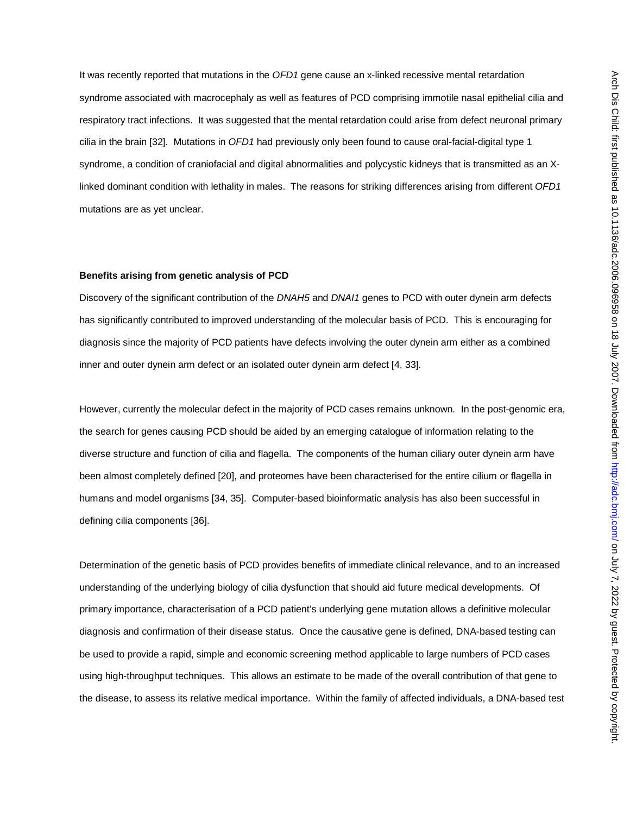It was recently reported that mutations in the *OFD1* gene cause an x-linked recessive mental retardation syndrome associated with macrocephaly as well as features of PCD comprising immotile nasal epithelial cilia and respiratory tract infections. It was suggested that the mental retardation could arise from defect neuronal primary cilia in the brain [32]. Mutations in *OFD1* had previously only been found to cause oral-facial-digital type 1 syndrome, a condition of craniofacial and digital abnormalities and polycystic kidneys that is transmitted as an Xlinked dominant condition with lethality in males. The reasons for striking differences arising from different *OFD1* mutations are as yet unclear.

#### **Benefits arising from genetic analysis of PCD**

Discovery of the significant contribution of the *DNAH5* and *DNAI1* genes to PCD with outer dynein arm defects has significantly contributed to improved understanding of the molecular basis of PCD. This is encouraging for diagnosis since the majority of PCD patients have defects involving the outer dynein arm either as a combined inner and outer dynein arm defect or an isolated outer dynein arm defect [4, 33].

However, currently the molecular defect in the majority of PCD cases remains unknown. In the post-genomic era, the search for genes causing PCD should be aided by an emerging catalogue of information relating to the diverse structure and function of cilia and flagella. The components of the human ciliary outer dynein arm have been almost completely defined [20], and proteomes have been characterised for the entire cilium or flagella in humans and model organisms [34, 35]. Computer-based bioinformatic analysis has also been successful in defining cilia components [36].

Determination of the genetic basis of PCD provides benefits of immediate clinical relevance, and to an increased understanding of the underlying biology of cilia dysfunction that should aid future medical developments. Of primary importance, characterisation of a PCD patient's underlying gene mutation allows a definitive molecular diagnosis and confirmation of their disease status. Once the causative gene is defined, DNA-based testing can be used to provide a rapid, simple and economic screening method applicable to large numbers of PCD cases using high-throughput techniques. This allows an estimate to be made of the overall contribution of that gene to the disease, to assess its relative medical importance. Within the family of affected individuals, a DNA-based test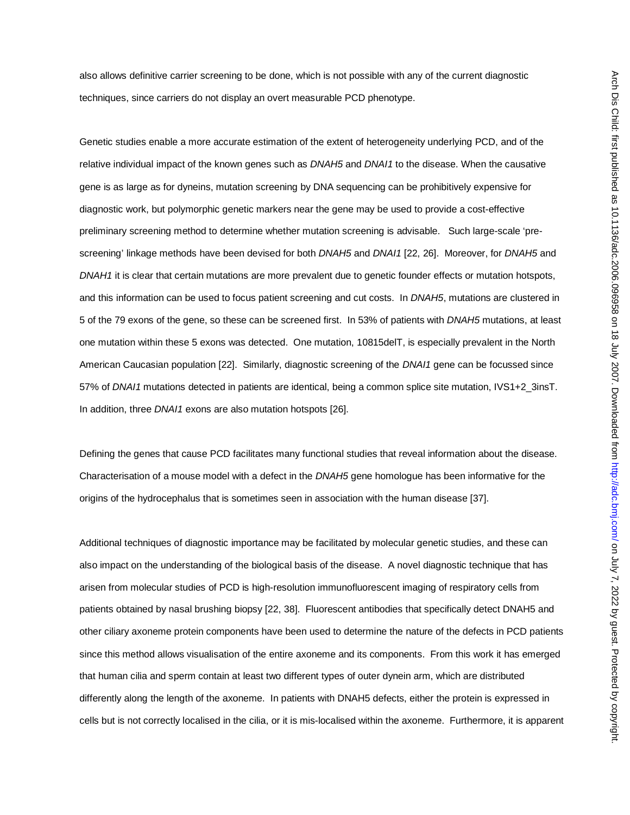also allows definitive carrier screening to be done, which is not possible with any of the current diagnostic techniques, since carriers do not display an overt measurable PCD phenotype.

Genetic studies enable a more accurate estimation of the extent of heterogeneity underlying PCD, and of the relative individual impact of the known genes such as *DNAH5* and *DNAI1* to the disease. When the causative gene is as large as for dyneins, mutation screening by DNA sequencing can be prohibitively expensive for diagnostic work, but polymorphic genetic markers near the gene may be used to provide a cost-effective preliminary screening method to determine whether mutation screening is advisable. Such large-scale 'prescreening' linkage methods have been devised for both *DNAH5* and *DNAI1* [22, 26]. Moreover, for *DNAH5* and *DNAH1* it is clear that certain mutations are more prevalent due to genetic founder effects or mutation hotspots, and this information can be used to focus patient screening and cut costs. In *DNAH5*, mutations are clustered in 5 of the 79 exons of the gene, so these can be screened first. In 53% of patients with *DNAH5* mutations, at least one mutation within these 5 exons was detected. One mutation, 10815delT, is especially prevalent in the North American Caucasian population [22]. Similarly, diagnostic screening of the *DNAI1* gene can be focussed since 57% of *DNAI1* mutations detected in patients are identical, being a common splice site mutation, IVS1+2\_3insT. In addition, three *DNAI1* exons are also mutation hotspots [26].

Defining the genes that cause PCD facilitates many functional studies that reveal information about the disease. Characterisation of a mouse model with a defect in the *DNAH5* gene homologue has been informative for the origins of the hydrocephalus that is sometimes seen in association with the human disease [37].

Additional techniques of diagnostic importance may be facilitated by molecular genetic studies, and these can also impact on the understanding of the biological basis of the disease. A novel diagnostic technique that has arisen from molecular studies of PCD is high-resolution immunofluorescent imaging of respiratory cells from patients obtained by nasal brushing biopsy [22, 38]. Fluorescent antibodies that specifically detect DNAH5 and other ciliary axoneme protein components have been used to determine the nature of the defects in PCD patients since this method allows visualisation of the entire axoneme and its components. From this work it has emerged that human cilia and sperm contain at least two different types of outer dynein arm, which are distributed differently along the length of the axoneme. In patients with DNAH5 defects, either the protein is expressed in cells but is not correctly localised in the cilia, or it is mis-localised within the axoneme. Furthermore, it is apparent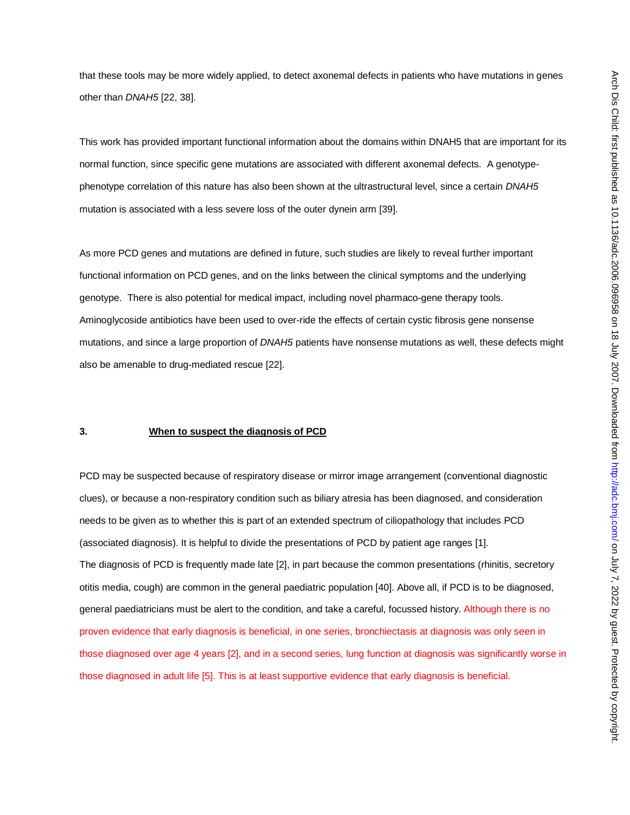that these tools may be more widely applied, to detect axonemal defects in patients who have mutations in genes other than *DNAH5* [22, 38].

This work has provided important functional information about the domains within DNAH5 that are important for its normal function, since specific gene mutations are associated with different axonemal defects. A genotypephenotype correlation of this nature has also been shown at the ultrastructural level, since a certain *DNAH5* mutation is associated with a less severe loss of the outer dynein arm [39].

As more PCD genes and mutations are defined in future, such studies are likely to reveal further important functional information on PCD genes, and on the links between the clinical symptoms and the underlying genotype. There is also potential for medical impact, including novel pharmaco-gene therapy tools. Aminoglycoside antibiotics have been used to over-ride the effects of certain cystic fibrosis gene nonsense mutations, and since a large proportion of *DNAH5* patients have nonsense mutations as well, these defects might also be amenable to drug-mediated rescue [22].

## **3. When to suspect the diagnosis of PCD**

PCD may be suspected because of respiratory disease or mirror image arrangement (conventional diagnostic clues), or because a non-respiratory condition such as biliary atresia has been diagnosed, and consideration needs to be given as to whether this is part of an extended spectrum of ciliopathology that includes PCD (associated diagnosis). It is helpful to divide the presentations of PCD by patient age ranges [1]. The diagnosis of PCD is frequently made late [2], in part because the common presentations (rhinitis, secretory otitis media, cough) are common in the general paediatric population [40]. Above all, if PCD is to be diagnosed, general paediatricians must be alert to the condition, and take a careful, focussed history. Although there is no proven evidence that early diagnosis is beneficial, in one series, bronchiectasis at diagnosis was only seen in those diagnosed over age 4 years [2], and in a second series, lung function at diagnosis was significantly worse in those diagnosed in adult life [5]. This is at least supportive evidence that early diagnosis is beneficial.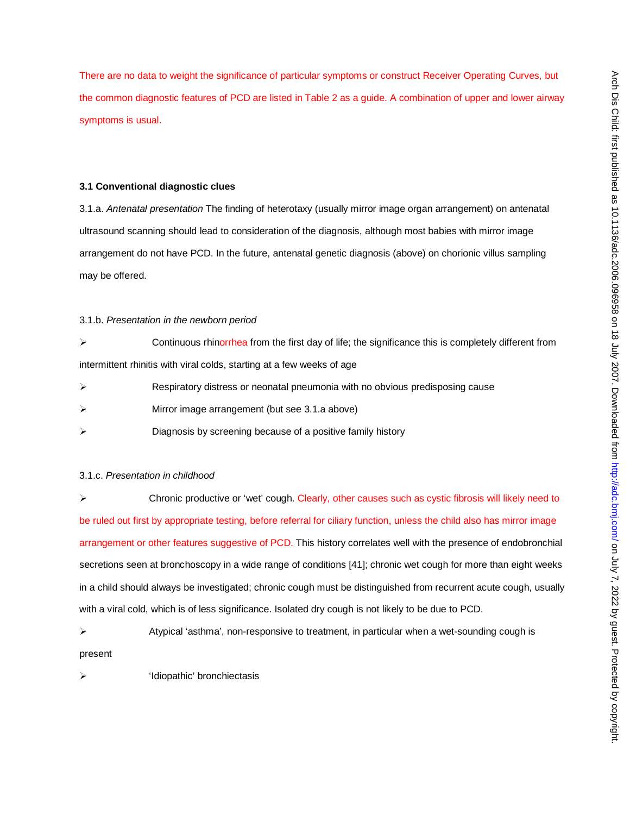There are no data to weight the significance of particular symptoms or construct Receiver Operating Curves, but the common diagnostic features of PCD are listed in Table 2 as a guide. A combination of upper and lower airway symptoms is usual.

#### **3.1 Conventional diagnostic clues**

3.1.a. *Antenatal presentation* The finding of heterotaxy (usually mirror image organ arrangement) on antenatal ultrasound scanning should lead to consideration of the diagnosis, although most babies with mirror image arrangement do not have PCD. In the future, antenatal genetic diagnosis (above) on chorionic villus sampling may be offered.

#### 3.1.b. *Presentation in the newborn period*

 $\triangleright$  Continuous rhinorrhea from the first day of life; the significance this is completely different from intermittent rhinitis with viral colds, starting at a few weeks of age

- Respiratory distress or neonatal pneumonia with no obvious predisposing cause
- Mirror image arrangement (but see 3.1.a above)
- Diagnosis by screening because of a positive family history

## 3.1.c. *Presentation in childhood*

 Chronic productive or 'wet' cough. Clearly, other causes such as cystic fibrosis will likely need to be ruled out first by appropriate testing, before referral for ciliary function, unless the child also has mirror image arrangement or other features suggestive of PCD. This history correlates well with the presence of endobronchial secretions seen at bronchoscopy in a wide range of conditions [41]; chronic wet cough for more than eight weeks in a child should always be investigated; chronic cough must be distinguished from recurrent acute cough, usually with a viral cold, which is of less significance. Isolated dry cough is not likely to be due to PCD.

 $\triangleright$  Atypical 'asthma', non-responsive to treatment, in particular when a wet-sounding cough is present

'Idiopathic' bronchiectasis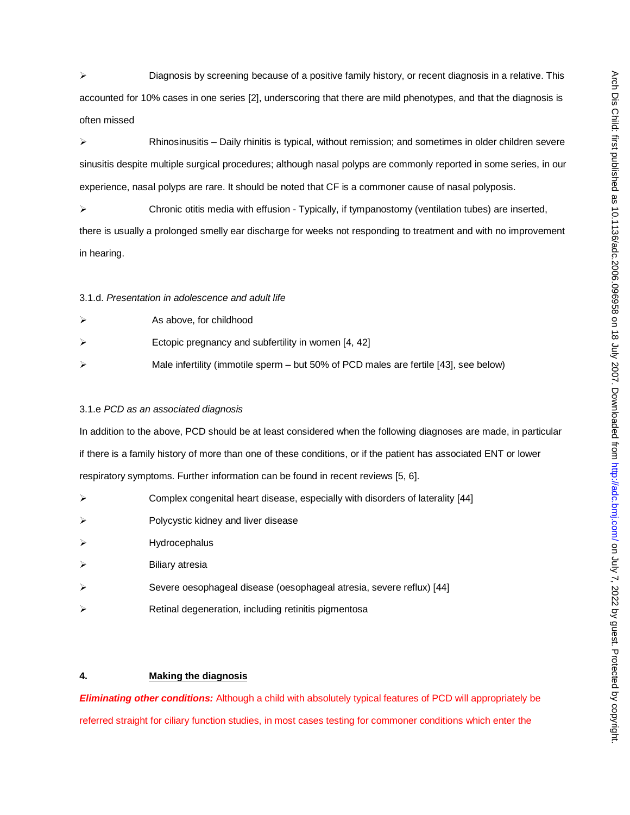$\triangleright$  Diagnosis by screening because of a positive family history, or recent diagnosis in a relative. This accounted for 10% cases in one series [2], underscoring that there are mild phenotypes, and that the diagnosis is often missed

 $\triangleright$  Rhinosinusitis – Daily rhinitis is typical, without remission; and sometimes in older children severe sinusitis despite multiple surgical procedures; although nasal polyps are commonly reported in some series, in our experience, nasal polyps are rare. It should be noted that CF is a commoner cause of nasal polyposis.

 $\triangleright$  Chronic otitis media with effusion - Typically, if tympanostomy (ventilation tubes) are inserted, there is usually a prolonged smelly ear discharge for weeks not responding to treatment and with no improvement in hearing.

#### 3.1.d. *Presentation in adolescence and adult life*

| As above, for childhood                                                              |
|--------------------------------------------------------------------------------------|
| Ectopic pregnancy and subfertility in women [4, 42]                                  |
| Male infertility (immotile sperm – but 50% of PCD males are fertile [43], see below) |

## 3.1.e *PCD as an associated diagnosis*

In addition to the above, PCD should be at least considered when the following diagnoses are made, in particular if there is a family history of more than one of these conditions, or if the patient has associated ENT or lower respiratory symptoms. Further information can be found in recent reviews [5, 6].

- Complex congenital heart disease, especially with disorders of laterality [44]
- $\triangleright$  Polycystic kidney and liver disease
- > Hydrocephalus
- Biliary atresia
- $\triangleright$  Severe oesophageal disease (oesophageal atresia, severe reflux) [44]
- Retinal degeneration, including retinitis pigmentosa

# **4. Making the diagnosis**

*Eliminating other conditions:* Although a child with absolutely typical features of PCD will appropriately be referred straight for ciliary function studies, in most cases testing for commoner conditions which enter the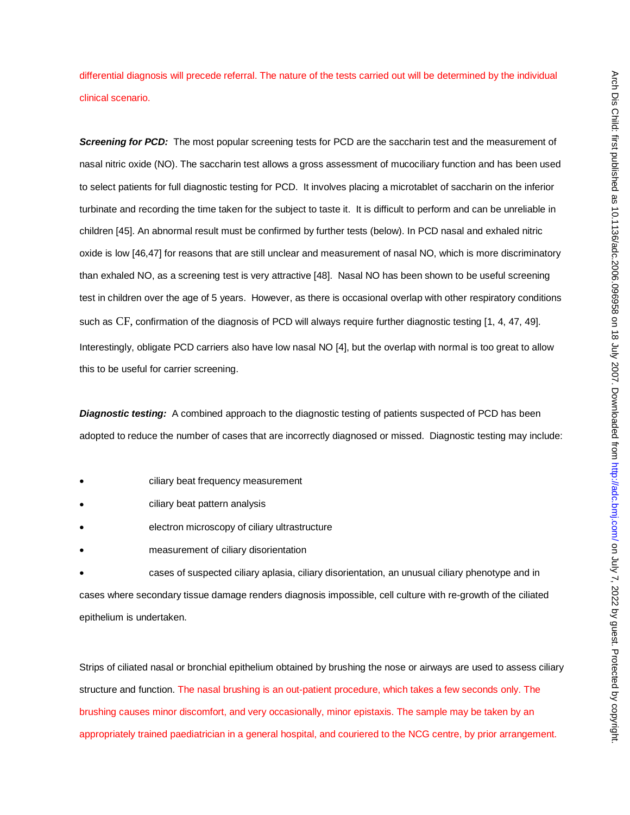differential diagnosis will precede referral. The nature of the tests carried out will be determined by the individual clinical scenario.

**Screening for PCD:** The most popular screening tests for PCD are the saccharin test and the measurement of nasal nitric oxide (NO). The saccharin test allows a gross assessment of mucociliary function and has been used to select patients for full diagnostic testing for PCD. It involves placing a microtablet of saccharin on the inferior turbinate and recording the time taken for the subject to taste it. It is difficult to perform and can be unreliable in children [45]. An abnormal result must be confirmed by further tests (below). In PCD nasal and exhaled nitric oxide is low [46,47] for reasons that are still unclear and measurement of nasal NO, which is more discriminatory than exhaled NO, as a screening test is very attractive [48]. Nasal NO has been shown to be useful screening test in children over the age of 5 years. However, as there is occasional overlap with other respiratory conditions such as CF, confirmation of the diagnosis of PCD will always require further diagnostic testing [1, 4, 47, 49]. Interestingly, obligate PCD carriers also have low nasal NO [4], but the overlap with normal is too great to allow this to be useful for carrier screening.

**Diagnostic testing:** A combined approach to the diagnostic testing of patients suspected of PCD has been adopted to reduce the number of cases that are incorrectly diagnosed or missed. Diagnostic testing may include:

- ciliary beat frequency measurement
- ciliary beat pattern analysis
- electron microscopy of ciliary ultrastructure
- measurement of ciliary disorientation

• cases of suspected ciliary aplasia, ciliary disorientation, an unusual ciliary phenotype and in cases where secondary tissue damage renders diagnosis impossible, cell culture with re-growth of the ciliated epithelium is undertaken.

Strips of ciliated nasal or bronchial epithelium obtained by brushing the nose or airways are used to assess ciliary structure and function. The nasal brushing is an out-patient procedure, which takes a few seconds only. The brushing causes minor discomfort, and very occasionally, minor epistaxis. The sample may be taken by an appropriately trained paediatrician in a general hospital, and couriered to the NCG centre, by prior arrangement.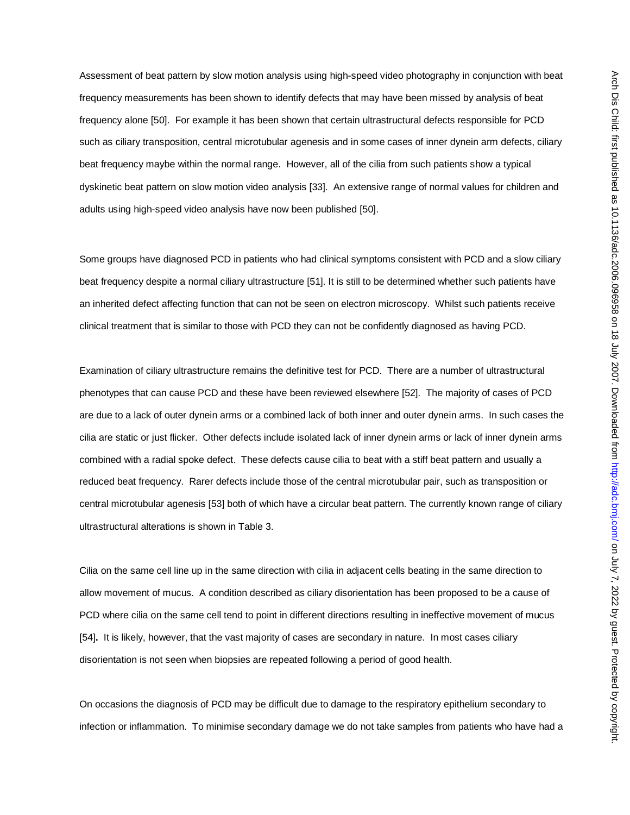Assessment of beat pattern by slow motion analysis using high-speed video photography in conjunction with beat frequency measurements has been shown to identify defects that may have been missed by analysis of beat frequency alone [50]. For example it has been shown that certain ultrastructural defects responsible for PCD such as ciliary transposition, central microtubular agenesis and in some cases of inner dynein arm defects, ciliary beat frequency maybe within the normal range. However, all of the cilia from such patients show a typical dyskinetic beat pattern on slow motion video analysis [33]. An extensive range of normal values for children and adults using high-speed video analysis have now been published [50].

Some groups have diagnosed PCD in patients who had clinical symptoms consistent with PCD and a slow ciliary beat frequency despite a normal ciliary ultrastructure [51]. It is still to be determined whether such patients have an inherited defect affecting function that can not be seen on electron microscopy. Whilst such patients receive clinical treatment that is similar to those with PCD they can not be confidently diagnosed as having PCD.

Examination of ciliary ultrastructure remains the definitive test for PCD. There are a number of ultrastructural phenotypes that can cause PCD and these have been reviewed elsewhere [52]. The majority of cases of PCD are due to a lack of outer dynein arms or a combined lack of both inner and outer dynein arms. In such cases the cilia are static or just flicker. Other defects include isolated lack of inner dynein arms or lack of inner dynein arms combined with a radial spoke defect. These defects cause cilia to beat with a stiff beat pattern and usually a reduced beat frequency. Rarer defects include those of the central microtubular pair, such as transposition or central microtubular agenesis [53] both of which have a circular beat pattern. The currently known range of ciliary ultrastructural alterations is shown in Table 3.

Cilia on the same cell line up in the same direction with cilia in adjacent cells beating in the same direction to allow movement of mucus. A condition described as ciliary disorientation has been proposed to be a cause of PCD where cilia on the same cell tend to point in different directions resulting in ineffective movement of mucus [54]**.** It is likely, however, that the vast majority of cases are secondary in nature. In most cases ciliary disorientation is not seen when biopsies are repeated following a period of good health.

On occasions the diagnosis of PCD may be difficult due to damage to the respiratory epithelium secondary to infection or inflammation. To minimise secondary damage we do not take samples from patients who have had a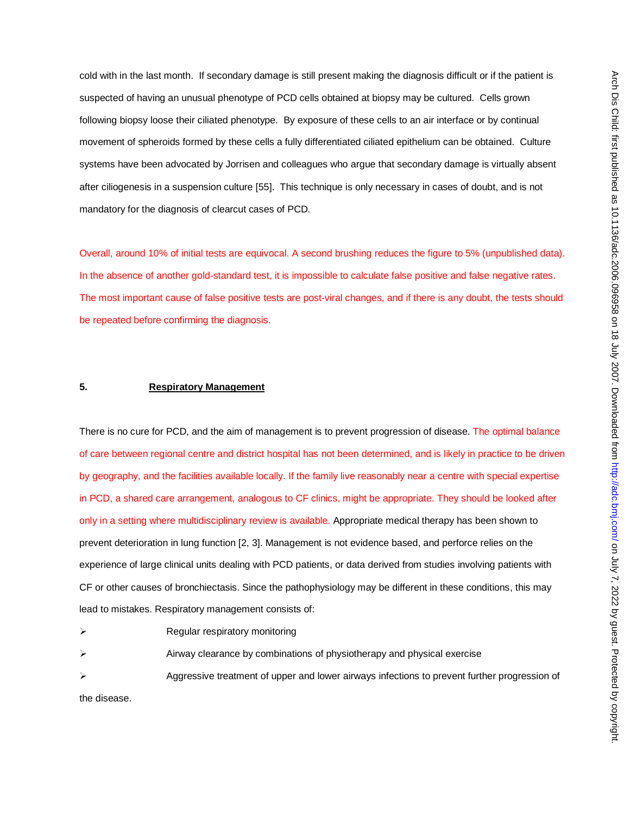cold with in the last month. If secondary damage is still present making the diagnosis difficult or if the patient is suspected of having an unusual phenotype of PCD cells obtained at biopsy may be cultured. Cells grown following biopsy loose their ciliated phenotype. By exposure of these cells to an air interface or by continual movement of spheroids formed by these cells a fully differentiated ciliated epithelium can be obtained. Culture systems have been advocated by Jorrisen and colleagues who argue that secondary damage is virtually absent after ciliogenesis in a suspension culture [55]. This technique is only necessary in cases of doubt, and is not mandatory for the diagnosis of clearcut cases of PCD.

Overall, around 10% of initial tests are equivocal. A second brushing reduces the figure to 5% (unpublished data). In the absence of another gold-standard test, it is impossible to calculate false positive and false negative rates. The most important cause of false positive tests are post-viral changes, and if there is any doubt, the tests should be repeated before confirming the diagnosis.

## **5. Respiratory Management**

There is no cure for PCD, and the aim of management is to prevent progression of disease. The optimal balance of care between regional centre and district hospital has not been determined, and is likely in practice to be driven by geography, and the facilities available locally. If the family live reasonably near a centre with special expertise in PCD, a shared care arrangement, analogous to CF clinics, might be appropriate. They should be looked after only in a setting where multidisciplinary review is available. Appropriate medical therapy has been shown to prevent deterioration in lung function [2, 3]. Management is not evidence based, and perforce relies on the experience of large clinical units dealing with PCD patients, or data derived from studies involving patients with CF or other causes of bronchiectasis. Since the pathophysiology may be different in these conditions, this may lead to mistakes. Respiratory management consists of:

- $\triangleright$  Regular respiratory monitoring
- Airway clearance by combinations of physiotherapy and physical exercise
- Aggressive treatment of upper and lower airways infections to prevent further progression of

the disease.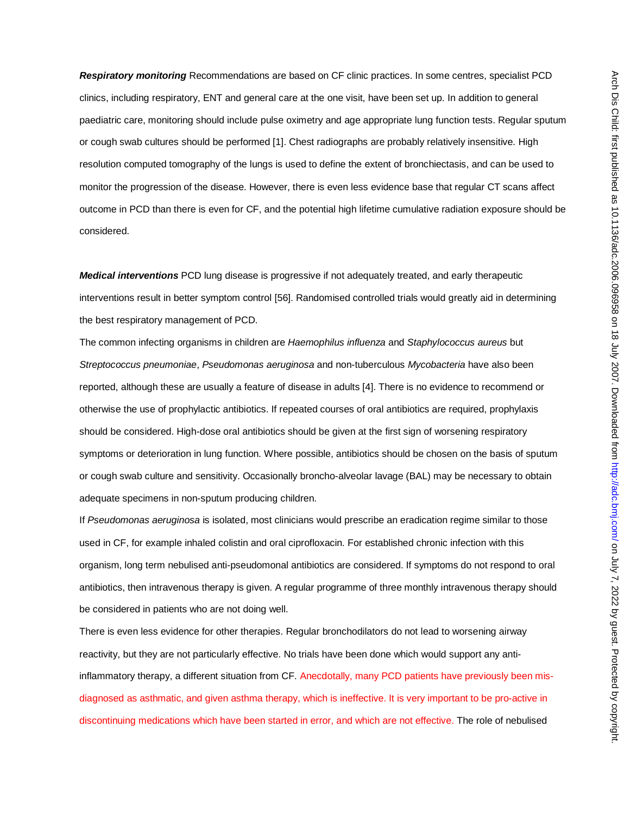*Respiratory monitoring* Recommendations are based on CF clinic practices. In some centres, specialist PCD clinics, including respiratory, ENT and general care at the one visit, have been set up. In addition to general paediatric care, monitoring should include pulse oximetry and age appropriate lung function tests. Regular sputum or cough swab cultures should be performed [1]. Chest radiographs are probably relatively insensitive. High resolution computed tomography of the lungs is used to define the extent of bronchiectasis, and can be used to monitor the progression of the disease. However, there is even less evidence base that regular CT scans affect outcome in PCD than there is even for CF, and the potential high lifetime cumulative radiation exposure should be considered.

*Medical interventions* PCD lung disease is progressive if not adequately treated, and early therapeutic interventions result in better symptom control [56]. Randomised controlled trials would greatly aid in determining the best respiratory management of PCD.

The common infecting organisms in children are *Haemophilus influenza* and *Staphylococcus aureus* but *Streptococcus pneumoniae*, *Pseudomonas aeruginosa* and non-tuberculous *Mycobacteria* have also been reported, although these are usually a feature of disease in adults [4]. There is no evidence to recommend or otherwise the use of prophylactic antibiotics. If repeated courses of oral antibiotics are required, prophylaxis should be considered. High-dose oral antibiotics should be given at the first sign of worsening respiratory symptoms or deterioration in lung function. Where possible, antibiotics should be chosen on the basis of sputum or cough swab culture and sensitivity. Occasionally broncho-alveolar lavage (BAL) may be necessary to obtain adequate specimens in non-sputum producing children.

If *Pseudomonas aeruginosa* is isolated, most clinicians would prescribe an eradication regime similar to those used in CF, for example inhaled colistin and oral ciprofloxacin. For established chronic infection with this organism, long term nebulised anti-pseudomonal antibiotics are considered. If symptoms do not respond to oral antibiotics, then intravenous therapy is given. A regular programme of three monthly intravenous therapy should be considered in patients who are not doing well.

There is even less evidence for other therapies. Regular bronchodilators do not lead to worsening airway reactivity, but they are not particularly effective. No trials have been done which would support any antiinflammatory therapy, a different situation from CF. Anecdotally, many PCD patients have previously been misdiagnosed as asthmatic, and given asthma therapy, which is ineffective. It is very important to be pro-active in discontinuing medications which have been started in error, and which are not effective. The role of nebulised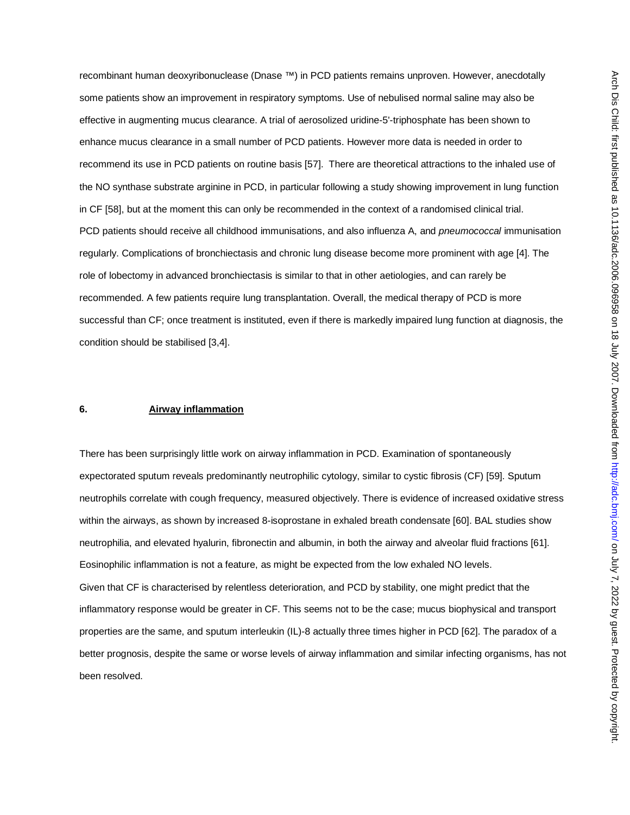recombinant human deoxyribonuclease (Dnase ™) in PCD patients remains unproven. However, anecdotally some patients show an improvement in respiratory symptoms. Use of nebulised normal saline may also be effective in augmenting mucus clearance. A trial of aerosolized uridine-5'-triphosphate has been shown to enhance mucus clearance in a small number of PCD patients. However more data is needed in order to recommend its use in PCD patients on routine basis [57]. There are theoretical attractions to the inhaled use of the NO synthase substrate arginine in PCD, in particular following a study showing improvement in lung function in CF [58], but at the moment this can only be recommended in the context of a randomised clinical trial. PCD patients should receive all childhood immunisations, and also influenza A, and *pneumococcal* immunisation regularly. Complications of bronchiectasis and chronic lung disease become more prominent with age [4]. The role of lobectomy in advanced bronchiectasis is similar to that in other aetiologies, and can rarely be recommended. A few patients require lung transplantation. Overall, the medical therapy of PCD is more successful than CF; once treatment is instituted, even if there is markedly impaired lung function at diagnosis, the condition should be stabilised [3,4].

## **6. Airway inflammation**

There has been surprisingly little work on airway inflammation in PCD. Examination of spontaneously expectorated sputum reveals predominantly neutrophilic cytology, similar to cystic fibrosis (CF) [59]. Sputum neutrophils correlate with cough frequency, measured objectively. There is evidence of increased oxidative stress within the airways, as shown by increased 8-isoprostane in exhaled breath condensate [60]. BAL studies show neutrophilia, and elevated hyalurin, fibronectin and albumin, in both the airway and alveolar fluid fractions [61]. Eosinophilic inflammation is not a feature, as might be expected from the low exhaled NO levels. Given that CF is characterised by relentless deterioration, and PCD by stability, one might predict that the inflammatory response would be greater in CF. This seems not to be the case; mucus biophysical and transport properties are the same, and sputum interleukin (IL)-8 actually three times higher in PCD [62]. The paradox of a better prognosis, despite the same or worse levels of airway inflammation and similar infecting organisms, has not been resolved.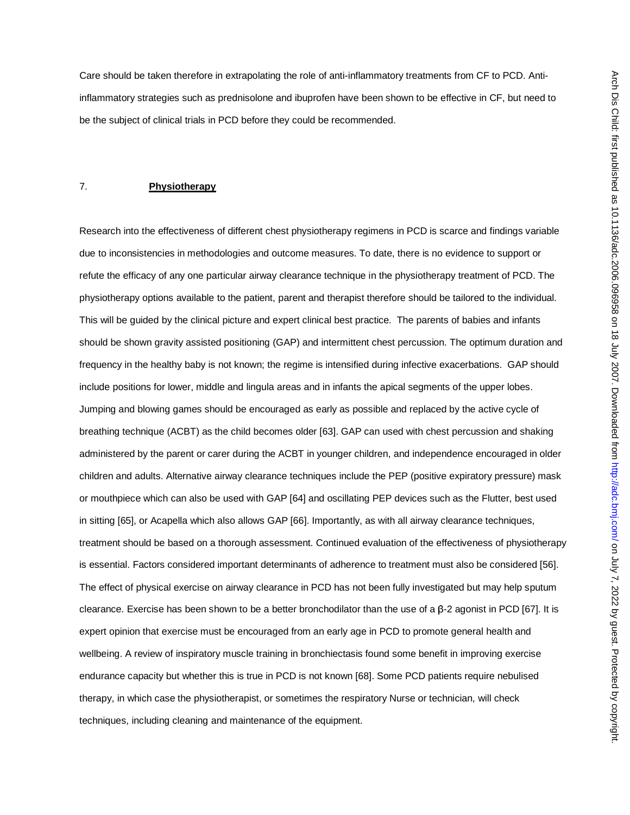Care should be taken therefore in extrapolating the role of anti-inflammatory treatments from CF to PCD. Antiinflammatory strategies such as prednisolone and ibuprofen have been shown to be effective in CF, but need to be the subject of clinical trials in PCD before they could be recommended.

## 7. **Physiotherapy**

Research into the effectiveness of different chest physiotherapy regimens in PCD is scarce and findings variable due to inconsistencies in methodologies and outcome measures. To date, there is no evidence to support or refute the efficacy of any one particular airway clearance technique in the physiotherapy treatment of PCD. The physiotherapy options available to the patient, parent and therapist therefore should be tailored to the individual. This will be guided by the clinical picture and expert clinical best practice. The parents of babies and infants should be shown gravity assisted positioning (GAP) and intermittent chest percussion. The optimum duration and frequency in the healthy baby is not known; the regime is intensified during infective exacerbations. GAP should include positions for lower, middle and lingula areas and in infants the apical segments of the upper lobes. Jumping and blowing games should be encouraged as early as possible and replaced by the active cycle of breathing technique (ACBT) as the child becomes older [63]. GAP can used with chest percussion and shaking administered by the parent or carer during the ACBT in younger children, and independence encouraged in older children and adults. Alternative airway clearance techniques include the PEP (positive expiratory pressure) mask or mouthpiece which can also be used with GAP [64] and oscillating PEP devices such as the Flutter, best used in sitting [65], or Acapella which also allows GAP [66]. Importantly, as with all airway clearance techniques, treatment should be based on a thorough assessment. Continued evaluation of the effectiveness of physiotherapy is essential. Factors considered important determinants of adherence to treatment must also be considered [56]. The effect of physical exercise on airway clearance in PCD has not been fully investigated but may help sputum clearance. Exercise has been shown to be a better bronchodilator than the use of a  $β-2$  agonist in PCD [67]. It is expert opinion that exercise must be encouraged from an early age in PCD to promote general health and wellbeing. A review of inspiratory muscle training in bronchiectasis found some benefit in improving exercise endurance capacity but whether this is true in PCD is not known [68]. Some PCD patients require nebulised therapy, in which case the physiotherapist, or sometimes the respiratory Nurse or technician, will check techniques, including cleaning and maintenance of the equipment.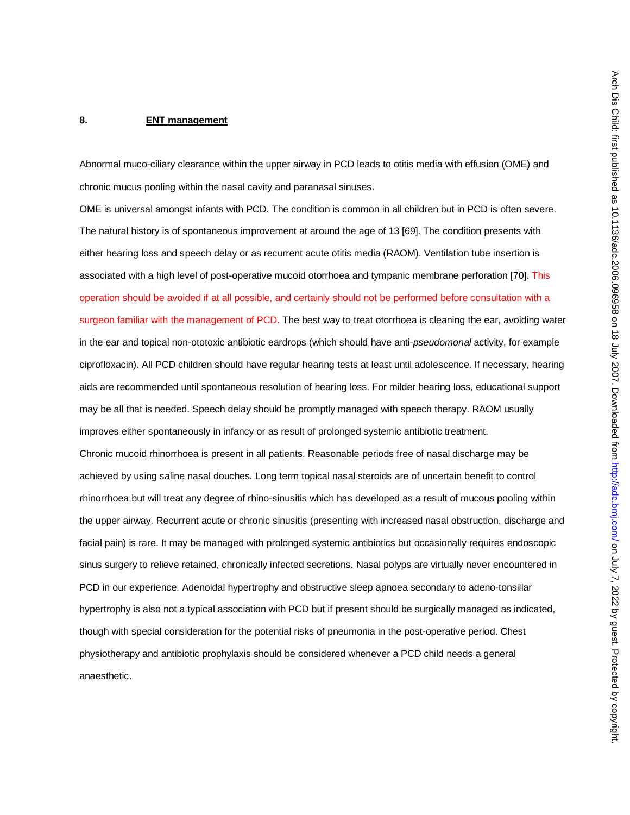### **8. ENT management**

Abnormal muco-ciliary clearance within the upper airway in PCD leads to otitis media with effusion (OME) and chronic mucus pooling within the nasal cavity and paranasal sinuses.

OME is universal amongst infants with PCD. The condition is common in all children but in PCD is often severe. The natural history is of spontaneous improvement at around the age of 13 [69]. The condition presents with either hearing loss and speech delay or as recurrent acute otitis media (RAOM). Ventilation tube insertion is associated with a high level of post-operative mucoid otorrhoea and tympanic membrane perforation [70]. This operation should be avoided if at all possible, and certainly should not be performed before consultation with a surgeon familiar with the management of PCD. The best way to treat otorrhoea is cleaning the ear, avoiding water in the ear and topical non-ototoxic antibiotic eardrops (which should have anti-*pseudomonal* activity, for example ciprofloxacin). All PCD children should have regular hearing tests at least until adolescence. If necessary, hearing aids are recommended until spontaneous resolution of hearing loss. For milder hearing loss, educational support may be all that is needed. Speech delay should be promptly managed with speech therapy. RAOM usually improves either spontaneously in infancy or as result of prolonged systemic antibiotic treatment. Chronic mucoid rhinorrhoea is present in all patients. Reasonable periods free of nasal discharge may be achieved by using saline nasal douches. Long term topical nasal steroids are of uncertain benefit to control rhinorrhoea but will treat any degree of rhino-sinusitis which has developed as a result of mucous pooling within the upper airway. Recurrent acute or chronic sinusitis (presenting with increased nasal obstruction, discharge and facial pain) is rare. It may be managed with prolonged systemic antibiotics but occasionally requires endoscopic sinus surgery to relieve retained, chronically infected secretions. Nasal polyps are virtually never encountered in PCD in our experience. Adenoidal hypertrophy and obstructive sleep apnoea secondary to adeno-tonsillar hypertrophy is also not a typical association with PCD but if present should be surgically managed as indicated, though with special consideration for the potential risks of pneumonia in the post-operative period. Chest physiotherapy and antibiotic prophylaxis should be considered whenever a PCD child needs a general anaesthetic.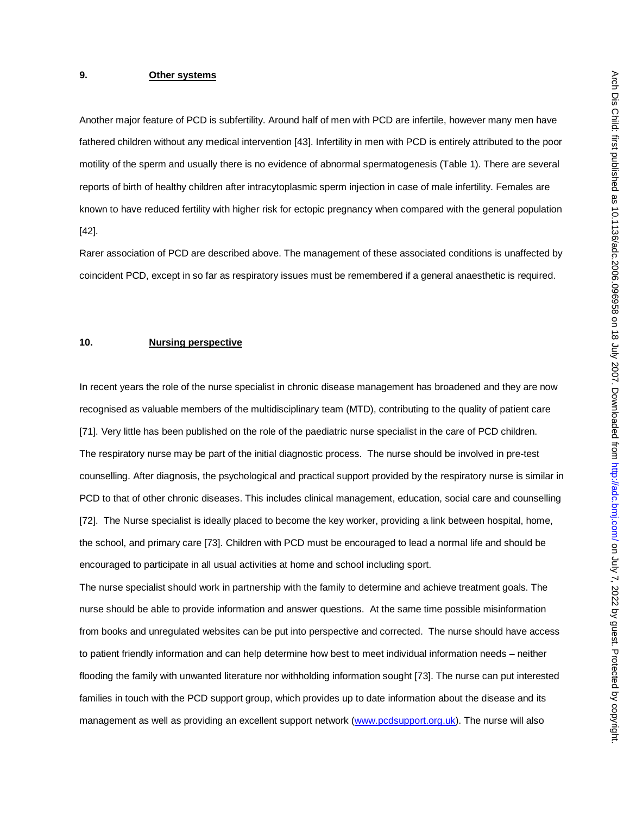# **9. Other systems**

Another major feature of PCD is subfertility. Around half of men with PCD are infertile, however many men have fathered children without any medical intervention [43]. Infertility in men with PCD is entirely attributed to the poor motility of the sperm and usually there is no evidence of abnormal spermatogenesis (Table 1). There are several reports of birth of healthy children after intracytoplasmic sperm injection in case of male infertility. Females are known to have reduced fertility with higher risk for ectopic pregnancy when compared with the general population [42].

Rarer association of PCD are described above. The management of these associated conditions is unaffected by coincident PCD, except in so far as respiratory issues must be remembered if a general anaesthetic is required.

### **10. Nursing perspective**

In recent years the role of the nurse specialist in chronic disease management has broadened and they are now recognised as valuable members of the multidisciplinary team (MTD), contributing to the quality of patient care [71]. Very little has been published on the role of the paediatric nurse specialist in the care of PCD children. The respiratory nurse may be part of the initial diagnostic process. The nurse should be involved in pre-test counselling. After diagnosis, the psychological and practical support provided by the respiratory nurse is similar in PCD to that of other chronic diseases. This includes clinical management, education, social care and counselling [72]. The Nurse specialist is ideally placed to become the key worker, providing a link between hospital, home, the school, and primary care [73]. Children with PCD must be encouraged to lead a normal life and should be encouraged to participate in all usual activities at home and school including sport.

The nurse specialist should work in partnership with the family to determine and achieve treatment goals. The nurse should be able to provide information and answer questions. At the same time possible misinformation from books and unregulated websites can be put into perspective and corrected. The nurse should have access to patient friendly information and can help determine how best to meet individual information needs – neither flooding the family with unwanted literature nor withholding information sought [73]. The nurse can put interested families in touch with the PCD support group, which provides up to date information about the disease and its management as well as providing an excellent support network (www.pcdsupport.org.uk). The nurse will also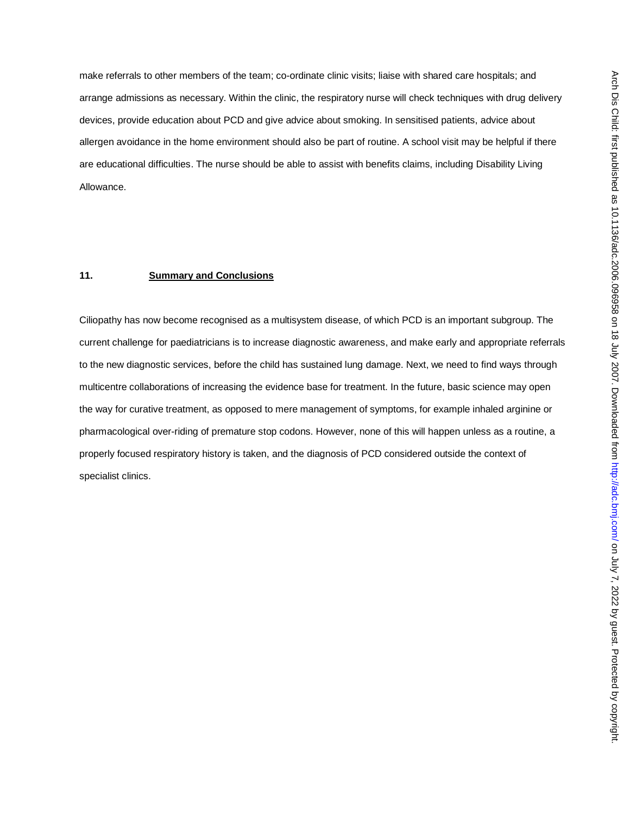make referrals to other members of the team; co-ordinate clinic visits; liaise with shared care hospitals; and arrange admissions as necessary. Within the clinic, the respiratory nurse will check techniques with drug delivery devices, provide education about PCD and give advice about smoking. In sensitised patients, advice about allergen avoidance in the home environment should also be part of routine. A school visit may be helpful if there are educational difficulties. The nurse should be able to assist with benefits claims, including Disability Living Allowance.

# **11. Summary and Conclusions**

Ciliopathy has now become recognised as a multisystem disease, of which PCD is an important subgroup. The current challenge for paediatricians is to increase diagnostic awareness, and make early and appropriate referrals to the new diagnostic services, before the child has sustained lung damage. Next, we need to find ways through multicentre collaborations of increasing the evidence base for treatment. In the future, basic science may open the way for curative treatment, as opposed to mere management of symptoms, for example inhaled arginine or pharmacological over-riding of premature stop codons. However, none of this will happen unless as a routine, a properly focused respiratory history is taken, and the diagnosis of PCD considered outside the context of specialist clinics.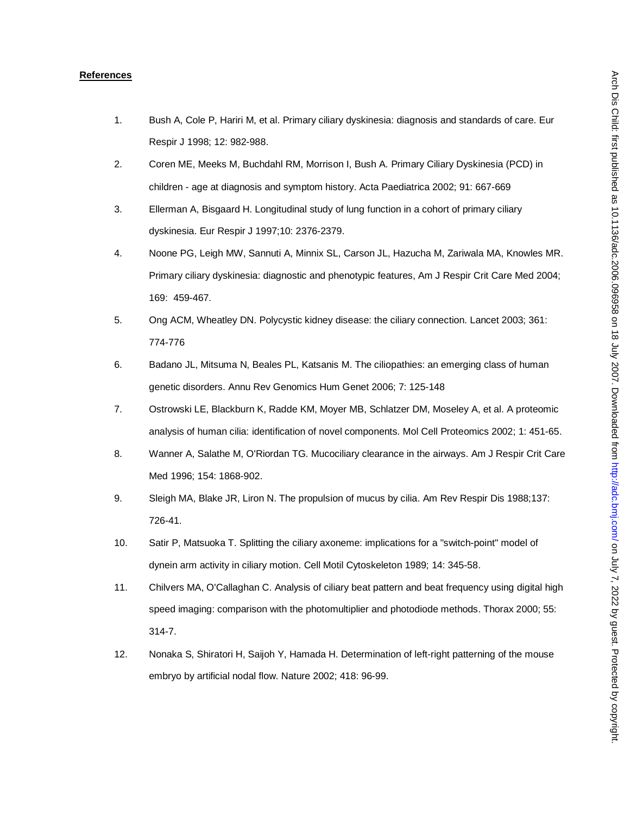#### **References**

- 1. Bush A, Cole P, Hariri M, et al. Primary ciliary dyskinesia: diagnosis and standards of care. Eur Respir J 1998; 12: 982-988.
- 2. Coren ME, Meeks M, Buchdahl RM, Morrison I, Bush A. Primary Ciliary Dyskinesia (PCD) in children - age at diagnosis and symptom history. Acta Paediatrica 2002; 91: 667-669
- 3. Ellerman A, Bisgaard H. Longitudinal study of lung function in a cohort of primary ciliary dyskinesia. Eur Respir J 1997;10: 2376-2379.
- 4. Noone PG, Leigh MW, Sannuti A, Minnix SL, Carson JL, Hazucha M, Zariwala MA, Knowles MR. Primary ciliary dyskinesia: diagnostic and phenotypic features, Am J Respir Crit Care Med 2004; 169: 459-467.
- 5. Ong ACM, Wheatley DN. Polycystic kidney disease: the ciliary connection. Lancet 2003; 361: 774-776
- 6. Badano JL, Mitsuma N, Beales PL, Katsanis M. The ciliopathies: an emerging class of human genetic disorders. Annu Rev Genomics Hum Genet 2006; 7: 125-148
- 7. Ostrowski LE, Blackburn K, Radde KM, Moyer MB, Schlatzer DM, Moseley A, et al. A proteomic analysis of human cilia: identification of novel components. Mol Cell Proteomics 2002; 1: 451-65.
- 8. Wanner A, Salathe M, O'Riordan TG. Mucociliary clearance in the airways. Am J Respir Crit Care Med 1996; 154: 1868-902.
- 9. Sleigh MA, Blake JR, Liron N. The propulsion of mucus by cilia. Am Rev Respir Dis 1988;137: 726-41.
- 10. Satir P, Matsuoka T. Splitting the ciliary axoneme: implications for a "switch-point" model of dynein arm activity in ciliary motion. Cell Motil Cytoskeleton 1989; 14: 345-58.
- 11. Chilvers MA, O'Callaghan C. Analysis of ciliary beat pattern and beat frequency using digital high speed imaging: comparison with the photomultiplier and photodiode methods. Thorax 2000; 55: 314-7.
- 12. Nonaka S, Shiratori H, Saijoh Y, Hamada H. Determination of left-right patterning of the mouse embryo by artificial nodal flow. Nature 2002; 418: 96-99.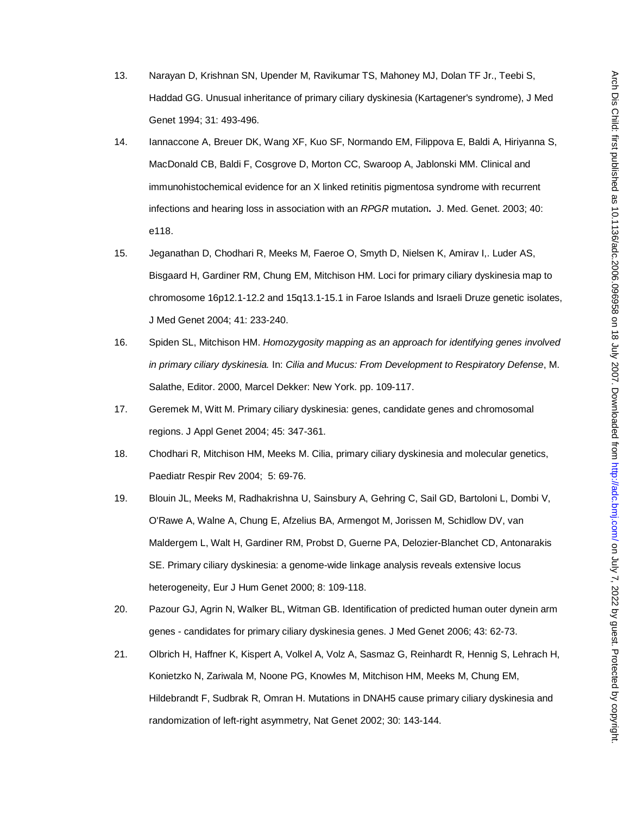- 13. Narayan D, Krishnan SN, Upender M, Ravikumar TS, Mahoney MJ, Dolan TF Jr., Teebi S, Haddad GG. Unusual inheritance of primary ciliary dyskinesia (Kartagener's syndrome), J Med Genet 1994; 31: 493-496.
- 14. Iannaccone A, Breuer DK, Wang XF, Kuo SF, Normando EM, Filippova E, Baldi A, Hiriyanna S, MacDonald CB, Baldi F, Cosgrove D, Morton CC, Swaroop A, Jablonski MM. Clinical and immunohistochemical evidence for an X linked retinitis pigmentosa syndrome with recurrent infections and hearing loss in association with an *RPGR* mutation**.** J. Med. Genet. 2003; 40: e118.
- 15. Jeganathan D, Chodhari R, Meeks M, Faeroe O, Smyth D, Nielsen K, Amirav I,. Luder AS, Bisgaard H, Gardiner RM, Chung EM, Mitchison HM. Loci for primary ciliary dyskinesia map to chromosome 16p12.1-12.2 and 15q13.1-15.1 in Faroe Islands and Israeli Druze genetic isolates, J Med Genet 2004; 41: 233-240.
- 16. Spiden SL, Mitchison HM. *Homozygosity mapping as an approach for identifying genes involved in primary ciliary dyskinesia.* In: *Cilia and Mucus: From Development to Respiratory Defense*, M. Salathe, Editor. 2000, Marcel Dekker: New York. pp. 109-117.
- 17. Geremek M, Witt M. Primary ciliary dyskinesia: genes, candidate genes and chromosomal regions. J Appl Genet 2004; 45: 347-361.
- 18. Chodhari R, Mitchison HM, Meeks M. Cilia, primary ciliary dyskinesia and molecular genetics, Paediatr Respir Rev 2004; 5: 69-76.
- 19. Blouin JL, Meeks M, Radhakrishna U, Sainsbury A, Gehring C, Sail GD, Bartoloni L, Dombi V, O'Rawe A, Walne A, Chung E, Afzelius BA, Armengot M, Jorissen M, Schidlow DV, van Maldergem L, Walt H, Gardiner RM, Probst D, Guerne PA, Delozier-Blanchet CD, Antonarakis SE. Primary ciliary dyskinesia: a genome-wide linkage analysis reveals extensive locus heterogeneity, Eur J Hum Genet 2000; 8: 109-118.
- 20. Pazour GJ, Agrin N, Walker BL, Witman GB. Identification of predicted human outer dynein arm genes - candidates for primary ciliary dyskinesia genes. J Med Genet 2006; 43: 62-73.
- 21. Olbrich H, Haffner K, Kispert A, Volkel A, Volz A, Sasmaz G, Reinhardt R, Hennig S, Lehrach H, Konietzko N, Zariwala M, Noone PG, Knowles M, Mitchison HM, Meeks M, Chung EM, Hildebrandt F, Sudbrak R, Omran H. Mutations in DNAH5 cause primary ciliary dyskinesia and randomization of left-right asymmetry, Nat Genet 2002; 30: 143-144.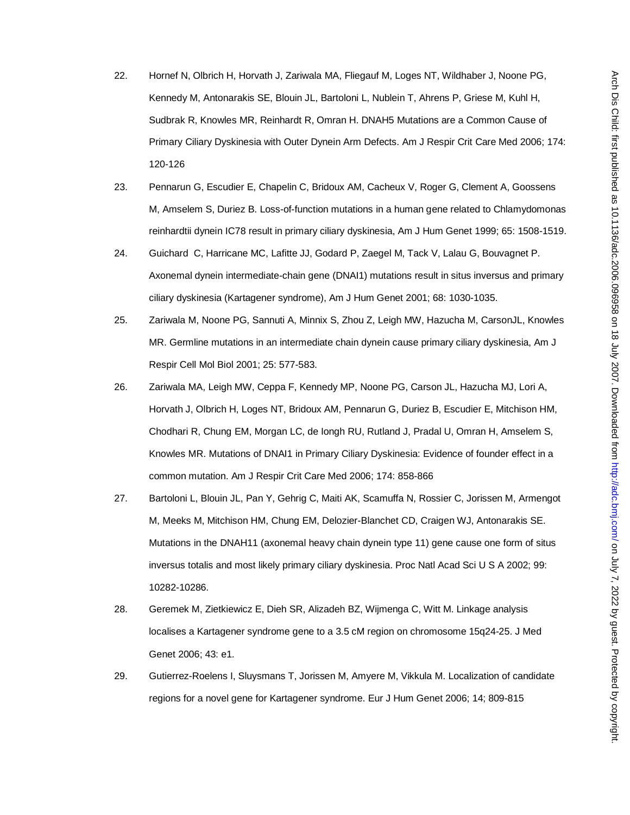- 22. Hornef N, Olbrich H, Horvath J, Zariwala MA, Fliegauf M, Loges NT, Wildhaber J, Noone PG, Kennedy M, Antonarakis SE, Blouin JL, Bartoloni L, Nublein T, Ahrens P, Griese M, Kuhl H, Sudbrak R, Knowles MR, Reinhardt R, Omran H. DNAH5 Mutations are a Common Cause of Primary Ciliary Dyskinesia with Outer Dynein Arm Defects. Am J Respir Crit Care Med 2006; 174: 120-126
- 23. Pennarun G, Escudier E, Chapelin C, Bridoux AM, Cacheux V, Roger G, Clement A, Goossens M, Amselem S, Duriez B. Loss-of-function mutations in a human gene related to Chlamydomonas reinhardtii dynein IC78 result in primary ciliary dyskinesia, Am J Hum Genet 1999; 65: 1508-1519.
- 24. Guichard C, Harricane MC, Lafitte JJ, Godard P, Zaegel M, Tack V, Lalau G, Bouvagnet P. Axonemal dynein intermediate-chain gene (DNAI1) mutations result in situs inversus and primary ciliary dyskinesia (Kartagener syndrome), Am J Hum Genet 2001; 68: 1030-1035.
- 25. Zariwala M, Noone PG, Sannuti A, Minnix S, Zhou Z, Leigh MW, Hazucha M, CarsonJL, Knowles MR. Germline mutations in an intermediate chain dynein cause primary ciliary dyskinesia, Am J Respir Cell Mol Biol 2001; 25: 577-583.
- 26. Zariwala MA, Leigh MW, Ceppa F, Kennedy MP, Noone PG, Carson JL, Hazucha MJ, Lori A, Horvath J, Olbrich H, Loges NT, Bridoux AM, Pennarun G, Duriez B, Escudier E, Mitchison HM, Chodhari R, Chung EM, Morgan LC, de Iongh RU, Rutland J, Pradal U, Omran H, Amselem S, Knowles MR. Mutations of DNAI1 in Primary Ciliary Dyskinesia: Evidence of founder effect in a common mutation. Am J Respir Crit Care Med 2006; 174: 858-866
- 27. Bartoloni L, Blouin JL, Pan Y, Gehrig C, Maiti AK, Scamuffa N, Rossier C, Jorissen M, Armengot M, Meeks M, Mitchison HM, Chung EM, Delozier-Blanchet CD, Craigen WJ, Antonarakis SE. Mutations in the DNAH11 (axonemal heavy chain dynein type 11) gene cause one form of situs inversus totalis and most likely primary ciliary dyskinesia. Proc Natl Acad Sci U S A 2002; 99: 10282-10286.
- 28. Geremek M, Zietkiewicz E, Dieh SR, Alizadeh BZ, Wijmenga C, Witt M. Linkage analysis localises a Kartagener syndrome gene to a 3.5 cM region on chromosome 15q24-25. J Med Genet 2006; 43: e1.
- 29. Gutierrez-Roelens I, Sluysmans T, Jorissen M, Amyere M, Vikkula M. Localization of candidate regions for a novel gene for Kartagener syndrome. Eur J Hum Genet 2006; 14; 809-815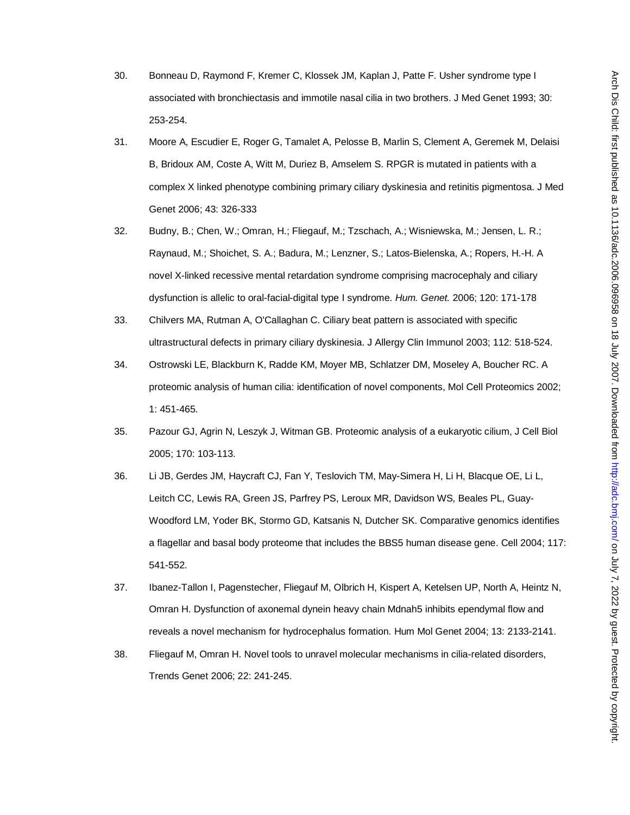- 30. Bonneau D, Raymond F, Kremer C, Klossek JM, Kaplan J, Patte F. Usher syndrome type I associated with bronchiectasis and immotile nasal cilia in two brothers. J Med Genet 1993; 30: 253-254.
- 31. Moore A, Escudier E, Roger G, Tamalet A, Pelosse B, Marlin S, Clement A, Geremek M, Delaisi B, Bridoux AM, Coste A, Witt M, Duriez B, Amselem S. RPGR is mutated in patients with a complex X linked phenotype combining primary ciliary dyskinesia and retinitis pigmentosa. J Med Genet 2006; 43: 326-333
- 32. Budny, B.; Chen, W.; Omran, H.; Fliegauf, M.; Tzschach, A.; Wisniewska, M.; Jensen, L. R.; Raynaud, M.; Shoichet, S. A.; Badura, M.; Lenzner, S.; Latos-Bielenska, A.; Ropers, H.-H. A novel X-linked recessive mental retardation syndrome comprising macrocephaly and ciliary dysfunction is allelic to oral-facial-digital type I syndrome. *Hum. Genet.* 2006; 120: 171-178
- 33. Chilvers MA, Rutman A, O'Callaghan C. Ciliary beat pattern is associated with specific ultrastructural defects in primary ciliary dyskinesia. J Allergy Clin Immunol 2003; 112: 518-524.
- 34. Ostrowski LE, Blackburn K, Radde KM, Moyer MB, Schlatzer DM, Moseley A, Boucher RC. A proteomic analysis of human cilia: identification of novel components, Mol Cell Proteomics 2002; 1: 451-465.
- 35. Pazour GJ, Agrin N, Leszyk J, Witman GB. Proteomic analysis of a eukaryotic cilium, J Cell Biol 2005; 170: 103-113.
- 36. Li JB, Gerdes JM, Haycraft CJ, Fan Y, Teslovich TM, May-Simera H, Li H, Blacque OE, Li L, Leitch CC, Lewis RA, Green JS, Parfrey PS, Leroux MR, Davidson WS, Beales PL, Guay-Woodford LM, Yoder BK, Stormo GD, Katsanis N, Dutcher SK. Comparative genomics identifies a flagellar and basal body proteome that includes the BBS5 human disease gene. Cell 2004; 117: 541-552.
- 37. Ibanez-Tallon I, Pagenstecher, Fliegauf M, Olbrich H, Kispert A, Ketelsen UP, North A, Heintz N, Omran H. Dysfunction of axonemal dynein heavy chain Mdnah5 inhibits ependymal flow and reveals a novel mechanism for hydrocephalus formation. Hum Mol Genet 2004; 13: 2133-2141.
- 38. Fliegauf M, Omran H. Novel tools to unravel molecular mechanisms in cilia-related disorders, Trends Genet 2006; 22: 241-245.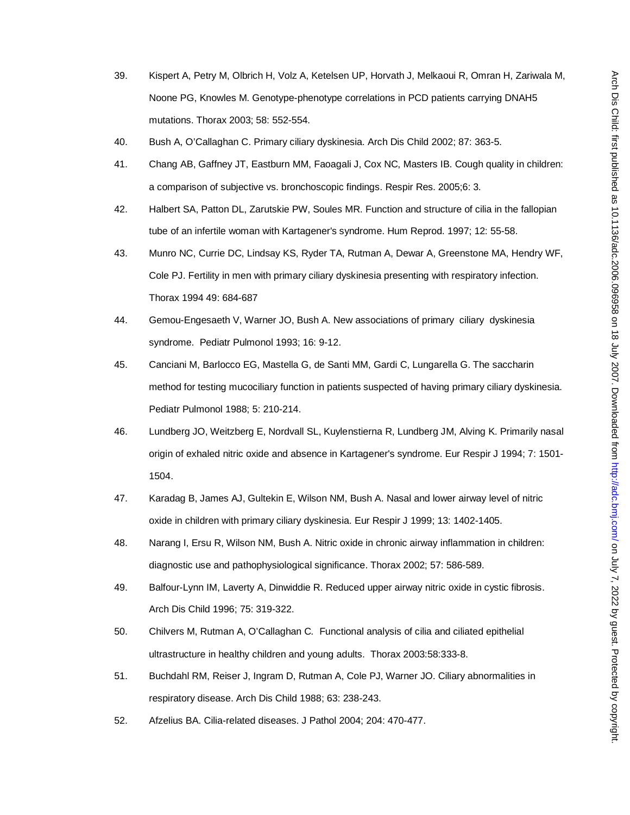- 39. Kispert A, Petry M, Olbrich H, Volz A, Ketelsen UP, Horvath J, Melkaoui R, Omran H, Zariwala M, Noone PG, Knowles M. Genotype-phenotype correlations in PCD patients carrying DNAH5 mutations. Thorax 2003; 58: 552-554.
- 40. Bush A, O'Callaghan C. Primary ciliary dyskinesia. Arch Dis Child 2002; 87: 363-5.
- 41. Chang AB, Gaffney JT, Eastburn MM, Faoagali J, Cox NC, Masters IB. Cough quality in children: a comparison of subjective vs. bronchoscopic findings. Respir Res. 2005;6: 3.
- 42. Halbert SA, Patton DL, Zarutskie PW, Soules MR. Function and structure of cilia in the fallopian tube of an infertile woman with Kartagener's syndrome. Hum Reprod. 1997; 12: 55-58.
- 43. Munro NC, Currie DC, Lindsay KS, Ryder TA, Rutman A, Dewar A, Greenstone MA, Hendry WF, Cole PJ. Fertility in men with primary ciliary dyskinesia presenting with respiratory infection. Thorax 1994 49: 684-687
- 44. Gemou-Engesaeth V, Warner JO, Bush A. New associations of primary ciliary dyskinesia syndrome. Pediatr Pulmonol 1993; 16: 9-12.
- 45. Canciani M, Barlocco EG, Mastella G, de Santi MM, Gardi C, Lungarella G. The saccharin method for testing mucociliary function in patients suspected of having primary ciliary dyskinesia. Pediatr Pulmonol 1988; 5: 210-214.
- 46. Lundberg JO, Weitzberg E, Nordvall SL, Kuylenstierna R, Lundberg JM, Alving K. Primarily nasal origin of exhaled nitric oxide and absence in Kartagener's syndrome. Eur Respir J 1994; 7: 1501- 1504.
- 47. Karadag B, James AJ, Gultekin E, Wilson NM, Bush A. Nasal and lower airway level of nitric oxide in children with primary ciliary dyskinesia. Eur Respir J 1999; 13: 1402-1405.
- 48. Narang I, Ersu R, Wilson NM, Bush A. Nitric oxide in chronic airway inflammation in children: diagnostic use and pathophysiological significance. Thorax 2002; 57: 586-589.
- 49. Balfour-Lynn IM, Laverty A, Dinwiddie R. Reduced upper airway nitric oxide in cystic fibrosis. Arch Dis Child 1996; 75: 319-322.
- 50. Chilvers M, Rutman A, O'Callaghan C*.* Functional analysis of cilia and ciliated epithelial ultrastructure in healthy children and young adults. Thorax 2003:58:333-8.
- 51. Buchdahl RM, Reiser J, Ingram D, Rutman A, Cole PJ, Warner JO. Ciliary abnormalities in respiratory disease. Arch Dis Child 1988; 63: 238-243.
- 52. Afzelius BA. Cilia-related diseases. J Pathol 2004; 204: 470-477.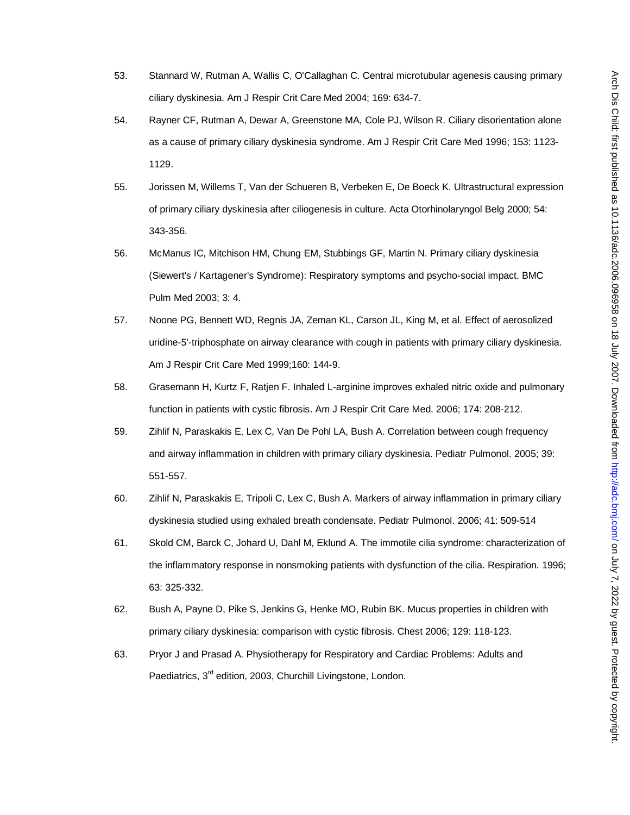- 53. Stannard W, Rutman A, Wallis C, O'Callaghan C. Central microtubular agenesis causing primary ciliary dyskinesia. Am J Respir Crit Care Med 2004; 169: 634-7.
- 54. Rayner CF, Rutman A, Dewar A, Greenstone MA, Cole PJ, Wilson R. Ciliary disorientation alone as a cause of primary ciliary dyskinesia syndrome. Am J Respir Crit Care Med 1996; 153: 1123- 1129.
- 55. Jorissen M, Willems T, Van der Schueren B, Verbeken E, De Boeck K. Ultrastructural expression of primary ciliary dyskinesia after ciliogenesis in culture. Acta Otorhinolaryngol Belg 2000; 54: 343-356.
- 56. McManus IC, Mitchison HM, Chung EM, Stubbings GF, Martin N. Primary ciliary dyskinesia (Siewert's / Kartagener's Syndrome): Respiratory symptoms and psycho-social impact. BMC Pulm Med 2003; 3: 4.
- 57. Noone PG, Bennett WD, Regnis JA, Zeman KL, Carson JL, King M, et al. Effect of aerosolized uridine-5'-triphosphate on airway clearance with cough in patients with primary ciliary dyskinesia. Am J Respir Crit Care Med 1999;160: 144-9.
- 58. Grasemann H, Kurtz F, Ratjen F. Inhaled L-arginine improves exhaled nitric oxide and pulmonary function in patients with cystic fibrosis. Am J Respir Crit Care Med. 2006; 174: 208-212.
- 59. Zihlif N, Paraskakis E, Lex C, Van De Pohl LA, Bush A. Correlation between cough frequency and airway inflammation in children with primary ciliary dyskinesia. Pediatr Pulmonol. 2005; 39: 551-557.
- 60. Zihlif N, Paraskakis E, Tripoli C, Lex C, Bush A. Markers of airway inflammation in primary ciliary dyskinesia studied using exhaled breath condensate. Pediatr Pulmonol. 2006; 41: 509-514
- 61. Skold CM, Barck C, Johard U, Dahl M, Eklund A. The immotile cilia syndrome: characterization of the inflammatory response in nonsmoking patients with dysfunction of the cilia. Respiration. 1996; 63: 325-332.
- 62. Bush A, Payne D, Pike S, Jenkins G, Henke MO, Rubin BK. Mucus properties in children with primary ciliary dyskinesia: comparison with cystic fibrosis. Chest 2006; 129: 118-123.
- 63. Pryor J and Prasad A. Physiotherapy for Respiratory and Cardiac Problems: Adults and Paediatrics, 3<sup>rd</sup> edition, 2003, Churchill Livingstone, London.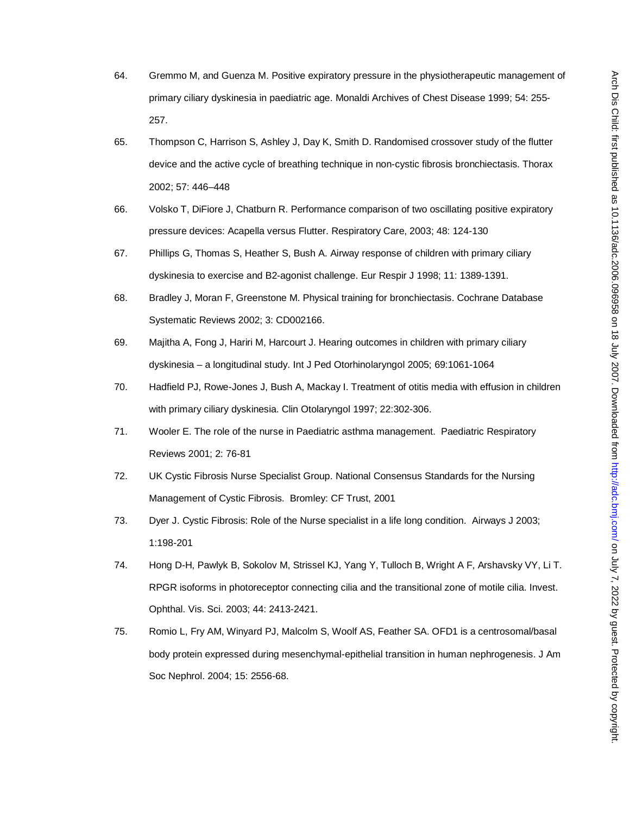- 64. Gremmo M, and Guenza M. Positive expiratory pressure in the physiotherapeutic management of primary ciliary dyskinesia in paediatric age. Monaldi Archives of Chest Disease 1999; 54: 255- 257.
- 65. Thompson C, Harrison S, Ashley J, Day K, Smith D. Randomised crossover study of the flutter device and the active cycle of breathing technique in non-cystic fibrosis bronchiectasis. Thorax 2002; 57: 446–448
- 66. Volsko T, DiFiore J, Chatburn R. Performance comparison of two oscillating positive expiratory pressure devices: Acapella versus Flutter. Respiratory Care, 2003; 48: 124-130
- 67. Phillips G, Thomas S, Heather S, Bush A. Airway response of children with primary ciliary dyskinesia to exercise and B2-agonist challenge. Eur Respir J 1998; 11: 1389-1391.
- 68. Bradley J, Moran F, Greenstone M. Physical training for bronchiectasis. Cochrane Database Systematic Reviews 2002; 3: CD002166.
- 69. Majitha A, Fong J, Hariri M, Harcourt J. Hearing outcomes in children with primary ciliary dyskinesia – a longitudinal study. Int J Ped Otorhinolaryngol 2005; 69:1061-1064
- 70. Hadfield PJ, Rowe-Jones J, Bush A, Mackay I. Treatment of otitis media with effusion in children with primary ciliary dyskinesia. Clin Otolaryngol 1997; 22:302-306.
- 71. Wooler E. The role of the nurse in Paediatric asthma management. Paediatric Respiratory Reviews 2001; 2: 76-81
- 72. UK Cystic Fibrosis Nurse Specialist Group. National Consensus Standards for the Nursing Management of Cystic Fibrosis. Bromley: CF Trust, 2001
- 73. Dyer J. Cystic Fibrosis: Role of the Nurse specialist in a life long condition. Airways J 2003; 1:198-201
- 74. Hong D-H, Pawlyk B, Sokolov M, Strissel KJ, Yang Y, Tulloch B, Wright A F, Arshavsky VY, Li T. RPGR isoforms in photoreceptor connecting cilia and the transitional zone of motile cilia. Invest. Ophthal. Vis. Sci. 2003; 44: 2413-2421.
- 75. Romio L, Fry AM, Winyard PJ, Malcolm S, Woolf AS, Feather SA. OFD1 is a centrosomal/basal body protein expressed during mesenchymal-epithelial transition in human nephrogenesis. J Am Soc Nephrol. 2004; 15: 2556-68.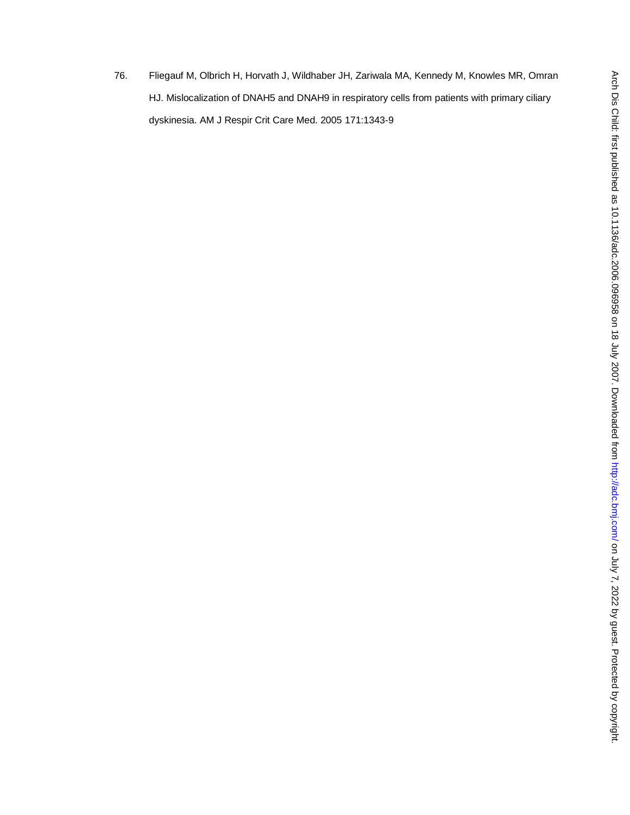76. Fliegauf M, Olbrich H, Horvath J, Wildhaber JH, Zariwala MA, Kennedy M, Knowles MR, Omran HJ. Mislocalization of DNAH5 and DNAH9 in respiratory cells from patients with primary ciliary dyskinesia. AM J Respir Crit Care Med. 2005 171:1343-9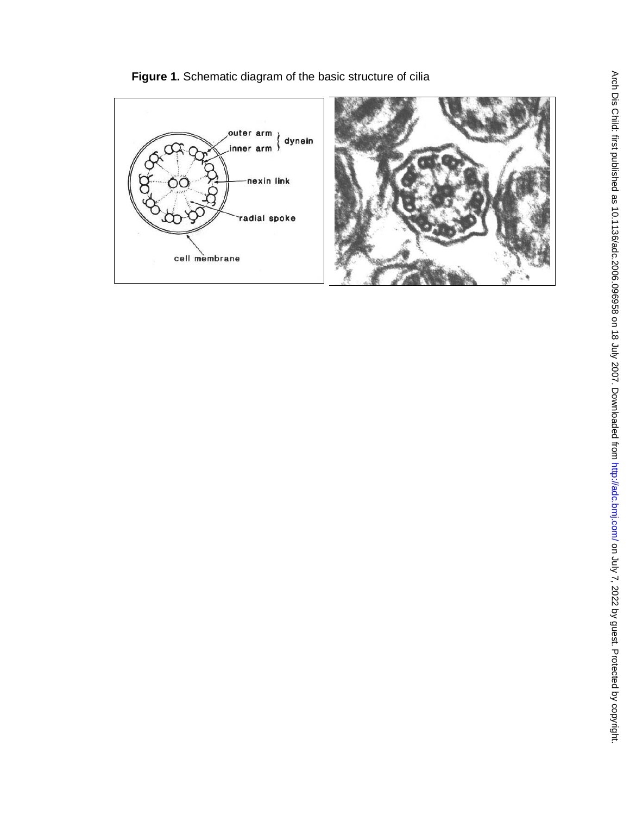

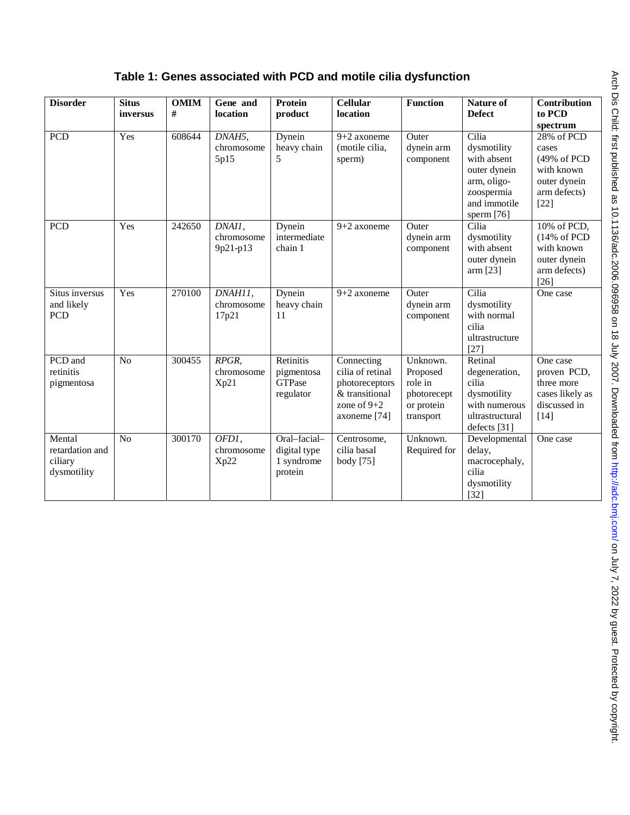|  | Table 1: Genes associated with PCD and motile cilia dysfunction |
|--|-----------------------------------------------------------------|
|  |                                                                 |

| <b>Disorder</b>                                     | <b>Situs</b><br>inversus | <b>OMIM</b><br># | Gene and<br><b>location</b>      | Protein<br>product                                    | <b>Cellular</b><br>location                                                                         | <b>Function</b>                                                           | <b>Nature of</b><br><b>Defect</b>                                                                                | Contribution<br>to PCD<br>spectrum                                                              |
|-----------------------------------------------------|--------------------------|------------------|----------------------------------|-------------------------------------------------------|-----------------------------------------------------------------------------------------------------|---------------------------------------------------------------------------|------------------------------------------------------------------------------------------------------------------|-------------------------------------------------------------------------------------------------|
| <b>PCD</b>                                          | Yes                      | 608644           | DNAH5,<br>chromosome<br>5p15     | Dynein<br>heavy chain<br>5                            | $9+2$ axoneme<br>(motile cilia,<br>sperm)                                                           | Outer<br>dynein arm<br>component                                          | Cilia<br>dysmotility<br>with absent<br>outer dynein<br>arm, oligo-<br>zoospermia<br>and immotile<br>sperm $[76]$ | 28% of PCD<br>cases<br>(49% of PCD<br>with known<br>outer dynein<br>arm defects)<br>$[22]$      |
| <b>PCD</b>                                          | Yes                      | 242650           | DNAI1,<br>chromosome<br>9p21-p13 | Dynein<br>intermediate<br>chain 1                     | $9+2$ axoneme                                                                                       | Outer<br>dynein arm<br>component                                          | Cilia<br>dysmotility<br>with absent<br>outer dynein<br>arm [23]                                                  | 10% of PCD,<br>$(14\% \text{ of } PCD)$<br>with known<br>outer dynein<br>arm defects)<br>$[26]$ |
| Situs inversus<br>and likely<br>PCD                 | Yes                      | 270100           | DNAH11.<br>chromosome<br>17p21   | Dynein<br>heavy chain<br>11                           | $9+2$ axoneme                                                                                       | Outer<br>dynein arm<br>component                                          | Cilia<br>dysmotility<br>with normal<br>cilia<br>ultrastructure<br>$[27]$                                         | One case                                                                                        |
| PCD and<br>retinitis<br>pigmentosa                  | N <sub>o</sub>           | 300455           | RPGR,<br>chromosome<br>Xp21      | Retinitis<br>pigmentosa<br><b>GTPase</b><br>regulator | Connecting<br>cilia of retinal<br>photoreceptors<br>& transitional<br>zone of $9+2$<br>axoneme [74] | Unknown.<br>Proposed<br>role in<br>photorecept<br>or protein<br>transport | Retinal<br>degeneration,<br>cilia<br>dysmotility<br>with numerous<br>ultrastructural<br>defects [31]             | One case<br>proven PCD.<br>three more<br>cases likely as<br>discussed in<br>$[14]$              |
| Mental<br>retardation and<br>ciliary<br>dysmotility | N <sub>o</sub>           | 300170           | OFD1,<br>chromosome<br>Xp22      | Oral-facial-<br>digital type<br>1 syndrome<br>protein | Centrosome,<br>cilia basal<br>body [75]                                                             | Unknown.<br>Required for                                                  | Developmental<br>delay,<br>macrocephaly,<br>cilia<br>dysmotility<br>$[32]$                                       | One case                                                                                        |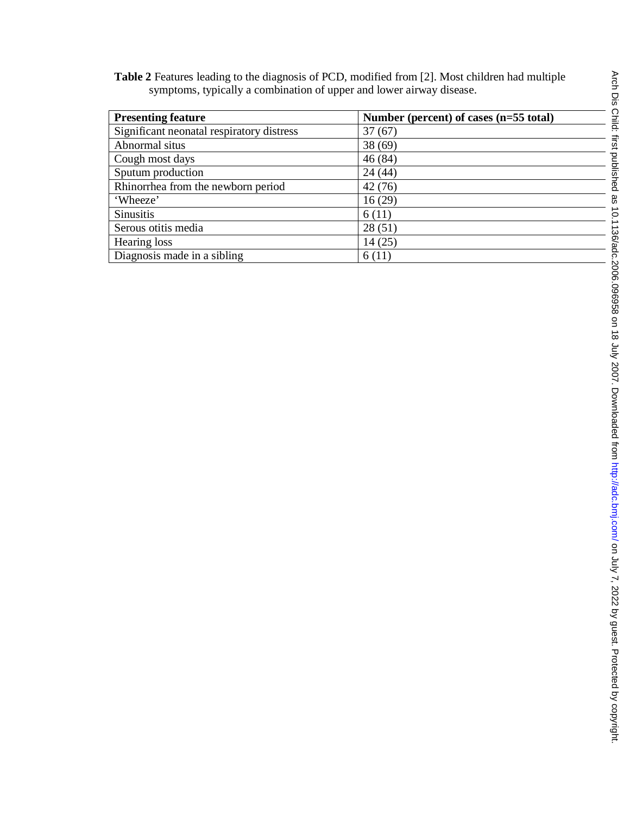**Table 2** Features leading to the diagnosis of PCD, modified from [2]. Most children had multiple symptoms, typically a combination of upper and lower airway disease.

| <b>Presenting feature</b>                 | Number (percent) of cases (n=55 total) |
|-------------------------------------------|----------------------------------------|
| Significant neonatal respiratory distress | 37(67)                                 |
| Abnormal situs                            | 38(69)                                 |
| Cough most days                           | 46(84)                                 |
| Sputum production                         | 24(44)                                 |
| Rhinorrhea from the newborn period        | 42(76)                                 |
| 'Wheeze'                                  | 16(29)                                 |
| <b>Sinusitis</b>                          | 6(11)                                  |
| Serous otitis media                       | 28(51)                                 |
| Hearing loss                              | 14(25)                                 |
| Diagnosis made in a sibling               | 6(11)                                  |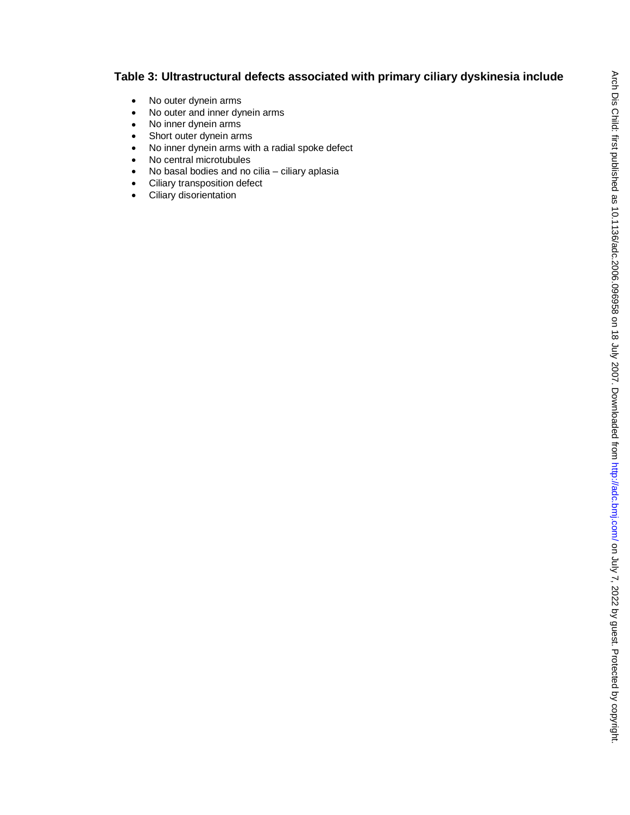# **Table 3: Ultrastructural defects associated with primary ciliary dyskinesia include**

- No outer dynein arms
- No outer and inner dynein arms
- No inner dynein arms
- Short outer dynein arms
- No inner dynein arms with a radial spoke defect
- No central microtubules
- No basal bodies and no cilia ciliary aplasia
- Ciliary transposition defect
- Ciliary disorientation